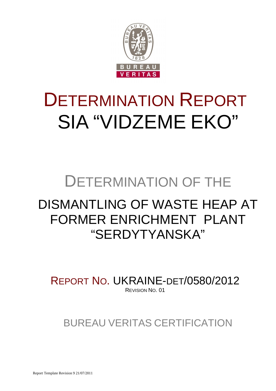

# DETERMINATION REPORT SIA "VIDZEME EKO"

# DETERMINATION OF THE

# DISMANTLING OF WASTE HEAP AT FORMER ENRICHMENT PLANT "SERDYTYANSKA"

REPORT NO. UKRAINE-DET/0580/2012 REVISION NO. 01

BUREAU VERITAS CERTIFICATION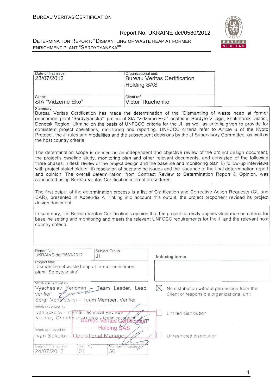



| Date of first issue:<br>23/07/2012 | Organizational unit:<br><b>Bureau Veritas Certification</b><br><b>Holding SAS</b> |  |
|------------------------------------|-----------------------------------------------------------------------------------|--|
| Client:                            | Client ref.:                                                                      |  |
| SIA "Vidzeme Eko"                  | Victor Tkachenko                                                                  |  |

Summary:

Bureau Veritas Certification has made the determination of the "Dismantling of waste heap at former enrichment plant "Serdytyanska"" project of SIA "Vidzeme Eko" located in Serdyte Village, Shakhtarsk District, Donetsk Region. Ukraine on the basis of UNFCCC criteria for the JI, as well as criteria given to provide for consistent project operations, monitoring and reporting. UNFCCC criteria refer to Article 6 of the Kyoto Protocol, the JI rules and modalities and the subsequent decisions by the JI Supervisory Committee, as well as the host country criteria.

The determination scope is defined as an independent and objective review of the project design document, the project's baseline study, monitoring plan and other relevant documents, and consisted of the following three phases: i) desk review of the project design and the baseline and monitoring plan; ii) follow-up interviews with project stakeholders; iii) resolution of outstanding issues and the issuance of the final determination report and opinion. The overall determination, from Contract Review to Determination Report & Opinion, was conducted using Bureau Veritas Certification internal procedures.

The first output of the determination process is a list of Clarification and Corrective Action Requests (CL and CAR), presented in Appendix A. Taking into account this output, the project proponent revised its project design document.

In summary, it is Bureau Veritas Certification's opinion that the project correctly applies Guidance on criteria for baseline setting and monitoring and meets the relevant UNFCCC requirements for the JI and the relevant host country criteria.

| Report No.:<br>UKRAINE-det/0580/2012                                                     | JI     | Subject Group:         | Indexing terms                              |
|------------------------------------------------------------------------------------------|--------|------------------------|---------------------------------------------|
| Project title:<br>Dismantling of waste heap at former enrichment<br>plant "Serdytyanska" |        |                        |                                             |
| Work carried out by<br>Vyacheslav Yeriomin - Team Leader, Lead                           |        |                        | No distribution without permission from the |
| verifier<br>Sergii Vertefetskyi - Team Member, Verifier                                  |        |                        | Client or responsible organizational unit   |
| Work reviewed by<br>Ivan Sokolov - Internal Technical Reviewer                           |        |                        | Limited distribution                        |
| Nikolay Chekhinestralso ventilas Cervication                                             |        |                        |                                             |
| Work approved by                                                                         |        |                        |                                             |
| Ivan Sokolov - Coperational Manager                                                      |        |                        | Unrestricted distribution                   |
| Date of this revision<br>24/07/2012                                                      | Rev No | Number of pages/<br>50 |                                             |

1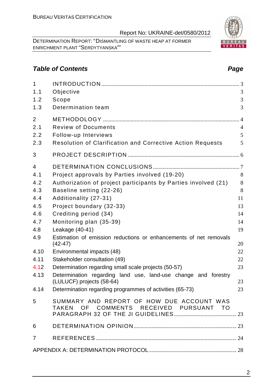DETERMINATION REPORT: "DISMANTLING OF WASTE HEAP AT FORMER ENRICHMENT PLANT "SERDYTYANSKA""

# **Table of Contents Page 2018**

| 1<br>1.1<br>1.2<br>1.3 | Objective<br>Scope<br>Determination team                                                    | 3<br>3<br>3    |
|------------------------|---------------------------------------------------------------------------------------------|----------------|
| $\overline{2}$         |                                                                                             |                |
| 2.1                    | <b>Review of Documents</b>                                                                  | $\overline{4}$ |
| 2.2                    | Follow-up Interviews                                                                        | 5              |
| 2.3                    | Resolution of Clarification and Corrective Action Requests                                  | 5              |
| 3                      |                                                                                             |                |
| 4                      |                                                                                             |                |
| 4.1                    | Project approvals by Parties involved (19-20)                                               | 8              |
| 4.2                    | Authorization of project participants by Parties involved (21)                              | 8              |
| 4.3                    | Baseline setting (22-26)                                                                    | 8              |
| 4.4                    | Additionality (27-31)                                                                       | 11             |
| 4.5                    | Project boundary (32-33)                                                                    | 13             |
| 4.6                    | Crediting period (34)                                                                       | 14             |
| 4.7                    | Monitoring plan (35-39)                                                                     | 14             |
| 4.8                    | Leakage (40-41)                                                                             | 19             |
| 4.9                    | Estimation of emission reductions or enhancements of net removals<br>$(42-47)$              | 20             |
| 4.10                   | Environmental impacts (48)                                                                  | 22             |
| 4.11                   | Stakeholder consultation (49)                                                               | 22             |
| 4.12                   | Determination regarding small scale projects (50-57)                                        | 23             |
| 4.13                   | Determination regarding land use, land-use change and forestry<br>(LULUCF) projects (58-64) | 23             |
| 4.14                   | Determination regarding programmes of activities (65-73)                                    | 23             |
| 5                      | SUMMARY AND REPORT OF HOW DUE ACCOUNT WAS<br>TAKEN OF COMMENTS RECEIVED PURSUANT TO         |                |
| 6                      |                                                                                             |                |
| 7                      |                                                                                             |                |
|                        |                                                                                             |                |

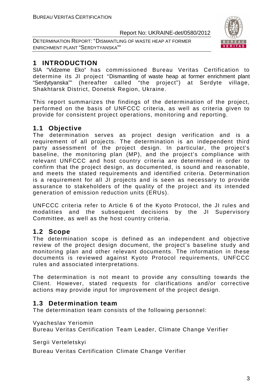DETERMINATION REPORT: "DISMANTLING OF WASTE HEAP AT FORMER ENRICHMENT PLANT "SERDYTYANSKA""



# **1 INTRODUCTION**

SIA "Vidzeme Eko" has commissioned Bureau Veritas Certification to determine its JI project "Dismantling of waste heap at former enrichment plant "Serdytyanska"" (hereafter called "the project") at Serdyte village, Shakhtarsk District, Donetsk Region, Ukraine.

This report summarizes the findings of the determination of the project, performed on the basis of UNFCCC criteria, as well as criteria given to provide for consistent project operations, monitoring and reporting.

# **1.1 Objective**

The determination serves as project design verification and is a requirement of all projects. The determination is an independent third party assessment of the project design. In particular, the project's baseline, the monitoring plan (MP), and the project's compliance with relevant UNFCCC and host country criteria are determined in order to confirm that the project design, as documented, is sound and reasonable, and meets the stated requirements and identified criteria. Determination is a requirement for all JI projects and is seen as necessary to provide assurance to stakeholders of the quality of the project and its intended generation of emission reduction units (ERUs).

UNFCCC criteria refer to Article 6 of the Kyoto Protocol, the JI rules and modalities and the subsequent decisions by the JI Supervisory Committee, as well as the host country criteria.

# **1.2 Scope**

The determination scope is defined as an independent and objective review of the project design document, the project's baseline study and monitoring plan and other relevant documents. The information in these documents is reviewed against Kyoto Protocol requirements, UNFCCC rules and associated interpretations.

The determination is not meant to provide any consulting towards the Client. However, stated requests for clarifications and/or corrective actions may provide input for improvement of the project design.

# **1.3 Determination team**

The determination team consists of the following personnel:

Vyacheslav Yeriomin

Bureau Veritas Certification Team Leader, Climate Change Verifier

Sergii Verteletskyi

Bureau Veritas Certification Climate Change Verifier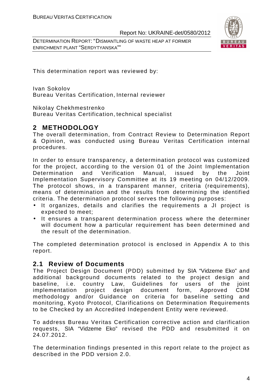DETERMINATION REPORT: "DISMANTLING OF WASTE HEAP AT FORMER ENRICHMENT PLANT "SERDYTYANSKA""



This determination report was reviewed by:

Ivan Sokolov Bureau Veritas Certification, Internal reviewer

Nikolay Chekhmestrenko

Bureau Veritas Certification, technical specialist

# **2 METHODOLOGY**

The overall determination, from Contract Review to Determination Report & Opinion, was conducted using Bureau Veritas Certification internal procedures.

In order to ensure transparency, a determination protocol was customized for the project, according to the version 01 of the Joint Implementation Determination and Verification Manual, issued by the Joint Implementation Supervisory Committee at its 19 meeting on 04/12/2009. The protocol shows, in a transparent manner, criteria (requirements), means of determination and the results from determining the identified criteria. The determination protocol serves the following purposes:

- It organizes, details and clarifies the requirements a JI project is expected to meet;
- It ensures a transparent determination process where the determiner will document how a particular requirement has been determined and the result of the determination.

The completed determination protocol is enclosed in Appendix A to this report.

### **2.1 Review of Documents**

The Project Design Document (PDD) submitted by SIA "Vidzeme Eko" and additional background documents related to the project design and baseline, i.e. country Law, Guidelines for users of the joint implementation project design document form, Approved CDM methodology and/or Guidance on criteria for baseline setting and monitoring, Kyoto Protocol, Clarifications on Determination Requirements to be Checked by an Accredited Independent Entity were reviewed.

To address Bureau Veritas Certification corrective action and clarification requests, SIA "Vidzeme Eko" revised the PDD and resubmitted it on 24.07.2012.

The determination findings presented in this report relate to the project as described in the PDD version 2.0.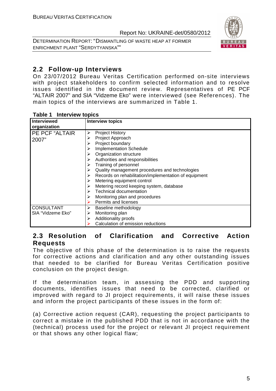DETERMINATION REPORT: "DISMANTLING OF WASTE HEAP AT FORMER ENRICHMENT PLANT "SERDYTYANSKA""



# **2.2 Follow-up Interviews**

On 23/07/2012 Bureau Veritas Certification performed on-site interviews with project stakeholders to confirm selected information and to resolve issues identified in the document review. Representatives of PE PCF "ALTAIR 2007" and SIA "Vidzeme Eko" were interviewed (see References). The main topics of the interviews are summarized in Table 1.

|  | Table 1 |  | <b>Interview topics</b> |  |
|--|---------|--|-------------------------|--|
|--|---------|--|-------------------------|--|

| <b>Interviewed</b> | <b>Interview topics</b>                                    |
|--------------------|------------------------------------------------------------|
| organization       |                                                            |
| PE PCF "ALTAIR     | <b>Project History</b><br>⋗                                |
| 2007"              | Project Approach                                           |
|                    | Project boundary<br>➤                                      |
|                    | <b>Implementation Schedule</b>                             |
|                    | Organization structure                                     |
|                    | Authorities and responsibilities                           |
|                    | Training of personnel<br>➤                                 |
|                    | Quality management procedures and technologies<br>➤        |
|                    | Records on rehabilitation/implementation of equipment<br>➤ |
|                    | Metering equipment control                                 |
|                    | Metering record keeping system, database                   |
|                    | Technical documentation                                    |
|                    | Monitoring plan and procedures<br>➤                        |
|                    | Permits and licenses                                       |
| <b>CONSULTANT</b>  | Baseline methodology<br>➤                                  |
| SIA "Vidzeme Eko"  | Monitoring plan                                            |
|                    | Additionality proofs<br>⋗                                  |
|                    | Calculation of emission reductions                         |

# **2.3 Resolution of Clarification and Corrective Action Requests**

The objective of this phase of the determination is to raise the requests for corrective actions and clarification and any other outstanding issues that needed to be clarified for Bureau Veritas Certification positive conclusion on the project design.

If the determination team, in assessing the PDD and supporting documents, identifies issues that need to be corrected, clarified or improved with regard to JI project requirements, it will raise these issues and inform the project participants of these issues in the form of:

(a) Corrective action request (CAR), requesting the project participants to correct a mistake in the published PDD that is not in accordance with the (technical) process used for the project or relevant JI project requirement or that shows any other logical flaw;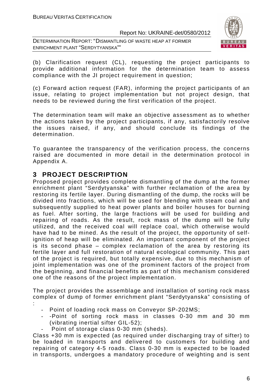DETERMINATION REPORT: "DISMANTLING OF WASTE HEAP AT FORMER ENRICHMENT PLANT "SERDYTYANSKA""



(b) Clarification request (CL), requesting the project participants to provide additional information for the determination team to assess compliance with the JI project requirement in question;

(c) Forward action request (FAR), informing the project participants of an issue, relating to project implementation but not project design, that needs to be reviewed during the first verification of the project.

The determination team will make an objective assessment as to whether the actions taken by the project participants, if any, satisfactorily resolve the issues raised, if any, and should conclude its findings of the determination.

To guarantee the transparency of the verification process, the concerns raised are documented in more detail in the determination protocol in Appendix A.

# **3 PROJECT DESCRIPTION**

Proposed project provides complete dismantling of the dump at the former enrichment plant "Serdytyanska" with further reclamation of the area by restoring its fertile layer. During dismantling of the dump, the rocks will be divided into fractions, which will be used for blending with steam coal and subsequently supplied to heat power plants and boiler houses for burning as fuel. After sorting, the large fractions will be used for building and repairing of roads. As the result, rock mass of the dump will be fully utilized, and the received coal will replace coal, which otherwise would have had to be mined. As the result of the project, the opportunity of selfignition of heap will be eliminated. An important component of the project is its second phase – complex reclamation of the area by restoring its fertile layer and full restoration of natural ecological community. This part of the project is required, but totally expensive, due to this mechanism of joint implementation was one of the prominent factors of the project from the beginning, and financial benefits as part of this mechanism considered one of the reasons of the project implementation.

The project provides the assemblage and installation of sorting rock mass complex of dump of former enrichment plant "Serdytyanska" consisting of :

- Point of loading rock mass on Conveyor SP-202MS;
- -Point of sorting rock mass in classes 0-30 mm and 30 mm (vibrating inertial sifter GIL-52);
- Point of storage class 0-30 mm (sheds).

Class +30 mm is expected (as required under discharging tray of sifter) to be loaded in transports and delivered to customers for building and repairing of category 4-5 roads. Class 0-30 mm is expected to be loaded in transports, undergoes a mandatory procedure of weighting and is sent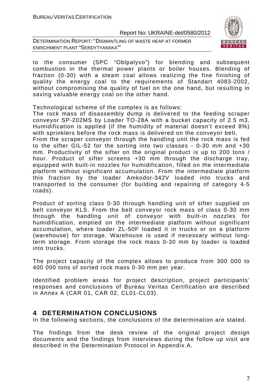DETERMINATION REPORT: "DISMANTLING OF WASTE HEAP AT FORMER ENRICHMENT PLANT "SERDYTYANSKA""



to the consumer (SPC "Oblpalyvo") for blending and subsequent combustion in the thermal power plants or boiler houses. Blending of fraction (0-30) with a steam coal allows realizing the fine finishing of quality the energy coal to the requirements of Standart 4083-2002, without compromising the quality of fuel on the one hand, but resulting in saving valuable energy coal on the other hand.

Technological scheme of the complex is as follows:

The rock mass of disassembly dump is delivered to the feeding scraper conveyor SP-202MS by Loader TO-28A with a bucket capacity of 2.5 m3. Humidification is applied (if the humidity of material doesn't exceed 8%) with sprinklers before the rock mass is delivered on the conveyor belt. From the scraper conveyor through the handling unit the rock mass is fed to the sifter GIL-52 for the sorting into two classes - 0-30 mm and +30 mm. Productivity of the sifter on the original product is up to 200 tons / hour. Product of sifter screens +30 mm through the discharge tray, equipped with built-in nozzles for humidification, filled on the intermediate platform without significant accumulation. From the intermediate platform this fraction by the loader Amkodor-342V loaded into trucks and transported to the consumer (for building and repairing of category 4-5 roads).

Product of sorting class 0-30 through handling unit of sifter supplied on belt conveyor KLS. From the belt conveyor rock mass of class 0-30 mm through the handling unit of conveyor with built-in nozzles for humidification, emptied on the intermediate platform without significant accumulation, where loader ZL-50F loaded it in trucks or on a platform (warehouse) for storage. Warehouse is used if necessary without longterm storage. From storage the rock mass 0-30 mm by loader is loaded into trucks.

The project capacity of the complex allows to produce from 300 000 to 400 000 tons of sorted rock mass 0-30 mm per year.

Identified problem areas for project description, project participants' responses and conclusions of Bureau Veritas Certification are described in Annex A (CAR 01, CAR 02, CL01-CL03).

# **4 DETERMINATION CONCLUSIONS**

In the following sections, the conclusions of the determination are stated.

The findings from the desk review of the original project design documents and the findings from interviews during the follow up visit are described in the Determination Protocol in Appendix A.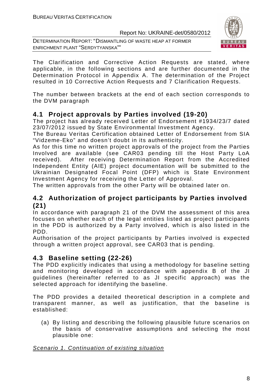DETERMINATION REPORT: "DISMANTLING OF WASTE HEAP AT FORMER ENRICHMENT PLANT "SERDYTYANSKA""



The Clarification and Corrective Action Requests are stated, where applicable, in the following sections and are further documented in the Determination Protocol in Appendix A. The determination of the Project resulted in 10 Corrective Action Requests and 7 Clarification Requests.

The number between brackets at the end of each section corresponds to the DVM paragraph

# **4.1 Project approvals by Parties involved (19-20)**

The project has already received Letter of Endorsement #1934/23/7 dated 23/07/2012 issued by State Environmental Investment Agency.

The Bureau Veritas Certification obtained Letter of Endorsement from SIA "Vidzeme-Eko" and doesn't doubt in its authenticity.

As for this time no written project approvals of the project from the Parties Involved are available (see CAR03 pending till the Host Party LoA received). After receiving Determination Report from the Accredited Independent Entity (AIE) project documentation will be submitted to the Ukrainian Designated Focal Point (DFP) which is State Environment Investment Agency for receiving the Letter of Approval.

The written approvals from the other Party will be obtained later on.

# **4.2 Authorization of project participants by Parties involved (21)**

In accordance with paragraph 21 of the DVM the assessment of this area focuses on whether each of the legal entities listed as project participants in the PDD is authorized by a Party involved, which is also listed in the PDD.

Authorisation of the project participants by Parties involved is expected through a written project approval, see CAR03 that is pending.

# **4.3 Baseline setting (22-26)**

The PDD explicitly indicates that using a methodology for baseline setting and monitoring developed in accordance with appendix B of the JI guidelines (hereinafter referred to as JI specific approach) was the selected approach for identifying the baseline.

The PDD provides a detailed theoretical description in a complete and transparent manner, as well as justification, that the baseline is established:

(a) By listing and describing the following plausible future scenarios on the basis of conservative assumptions and selecting the most plausible one:

### Scenario 1. Continuation of existing situation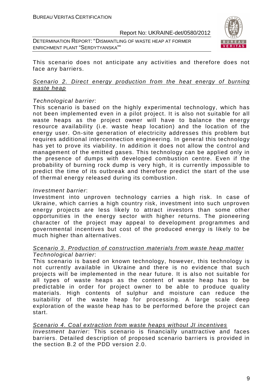DETERMINATION REPORT: "DISMANTLING OF WASTE HEAP AT FORMER ENRICHMENT PLANT "SERDYTYANSKA""



This scenario does not anticipate any activities and therefore does not face any barriers.

#### Scenario 2. Direct energy production from the heat energy of burning waste heap

#### Technological barrier:

This scenario is based on the highly experimental technology, which has not been implemented even in a pilot project. It is also not suitable for all waste heaps as the project owner will have to balance the energy resource availability (i.e. waste heap location) and the location of the energy user. On-site generation of electricity addresses this problem but requires additional interconnection engineering. In general this technology has yet to prove its viability. In addition it does not allow the control and management of the emitted gases. This technology can be applied only in the presence of dumps with developed combustion centre. Even if the probability of burning rock dump is very high, it is currently impossible to predict the time of its outbreak and therefore predict the start of the use of thermal energy released during its combustion.

#### Investment barrier:

Investment into unproven technology carries a high risk. In case of Ukraine, which carries a high country risk, investment into such unproven energy projects are less likely to attract investors than some other opportunities in the energy sector with higher returns. The pioneering character of the project may appeal to development programmes and governmental incentives but cost of the produced energy is likely to be much higher than alternatives.

#### Scenario 3. Production of construction materials from waste heap matter Technological barrier:

This scenario is based on known technology, however, this technology is not currently available in Ukraine and there is no evidence that such projects will be implemented in the near future. It is also not suitable for all types of waste heaps as the content of waste heap has to be predictable in order for project owner to be able to produce quality materials. High contents of sulphur and moisture can reduce the suitability of the waste heap for processing. A large scale deep exploration of the waste heap has to be performed before the project can start.

#### Scenario 4. Coal extraction from waste heaps without JI incentives

Investment barrier: This scenario is financially unattractive and faces barriers. Detailed description of proposed scenario barriers is provided in the section B.2 of the PDD version 2.0.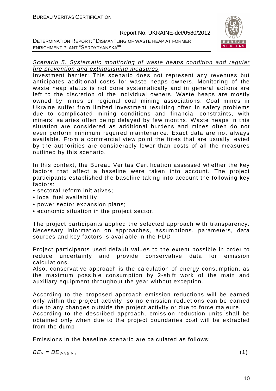DETERMINATION REPORT: "DISMANTLING OF WASTE HEAP AT FORMER ENRICHMENT PLANT "SERDYTYANSKA""



#### Scenario 5. Systematic monitoring of waste heaps condition and regular fire prevention and extinguishing measures

Investment barrier: This scenario does not represent any revenues but anticipates additional costs for waste heaps owners. Monitoring of the waste heap status is not done systematically and in general actions are left to the discretion of the individual owners. Waste heaps are mostly owned by mines or regional coal mining associations. Coal mines in Ukraine suffer from limited investment resulting often in safety problems due to complicated mining conditions and financial constraints, with miners' salaries often being delayed by few months. Waste heaps in this situation are considered as additional burdens and mines often do not even perform minimum required maintenance. Exact data are not always available. From a commercial view point the fines that are usually levied by the authorities are considerably lower than costs of all the measures outlined by this scenario.

In this context, the Bureau Veritas Certification assessed whether the key factors that affect a baseline were taken into account. The project participants established the baseline taking into account the following key factors:

- sectoral reform initiatives;
- local fuel availability;
- power sector expansion plans;
- economic situation in the project sector.

The project participants applied the selected approach with transparency. Necessary information on approaches, assumptions, parameters, data sources and key factors is available in the PDD

Project participants used default values to the extent possible in order to reduce uncertainty and provide conservative data for emission calculations.

Also, conservative approach is the calculation of energy consumption, as the maximum possible consumption by 2-shift work of the main and auxiliary equipment throughout the year without exception.

According to the proposed approach emission reductions will be earned only within the project activity, so no emission reductions can be earned due to any changes outside the project activity or due to force majeure.

According to the described approach, emission reduction units shall be obtained only when due to the project boundaries coal will be extracted from the dump

Emissions in the baseline scenario are calculated as follows:

 $BE_v = BE_{WHB.v}$ , (1)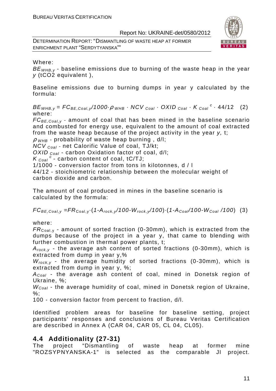DETERMINATION REPORT: "DISMANTLING OF WASTE HEAP AT FORMER ENRICHMENT PLANT "SERDYTYANSKA""



Where:

 $BE<sub>WHRV</sub>$  - baseline emissions due to burning of the waste heap in the year y (tCO2 equivalent ),

Baseline emissions due to burning dumps in year y calculated by the formula:

 $BE_{WHB,y} = FC_{BE,Coal,y}$ /1000 $\cdot \rho$  whe  $\cdot$  NCV  $_{Coal} \cdot$  OXID  $_{Coal} \cdot K_{Coal}^c \cdot$  44/12 (2) where:

 $FC_{BE, coal, y}$  - amount of coal that has been mined in the baseline scenario and combusted for energy use, equivalent to the amount of coal extracted from the waste heap because of the project activity in the year y, t;

 $\rho$  w<sub>HB</sub> - probability of waste heap burning, d/l;

 $NCV_{Coal}$  - net Calorific Value of coal, TJ/kt;

OXID  $_{Coal}$  - carbon Oxidation factor of coal, d/l;

 $K_{\text{Coal}}^c$  - carbon content of coal, tC/TJ;

1/1000 - conversion factor from tons in kilotonnes, d / l

44/12 - stoichiometric relationship between the molecular weight of carbon dioxide and carbon.

The amount of coal produced in mines in the baseline scenario is calculated by the formula:

 $FC_{BE,Coal,y} = FR_{Coal,y} \cdot (1-A_{rock,y}/100-W_{rock,y}/100) \cdot (1-A_{Coal}/100-W_{Coal}/100)$  (3)

where:

 $FR_{\text{Coal,v}}$  - amount of sorted fraction (0-30mm), which is extracted from the dumps because of the project in a year y, that came to blending with further combustion in thermal power plants, t;

 $A_{rock, v}$  - the average ash content of sorted fractions (0-30mm), which is extracted from dump in year y,%

 $W_{rock,v}$  - the average humidity of sorted fractions (0-30mm), which is extracted from dump in year y, %;

 $A_{Coal}$  - the average ash content of coal, mined in Donetsk region of Ukraine, %;

 $W_{Coal}$  - the average humidity of coal, mined in Donetsk region of Ukraine,  $\%$ :

100 - conversion factor from percent to fraction, d/l.

Identified problem areas for baseline for baseline setting, project participants' responses and conclusions of Bureau Veritas Certification are described in Annex A (CAR 04, CAR 05, CL 04, CL05).

# **4.4 Additionality (27-31)**

The project "Dismantling of waste heap at former mine "ROZSYPNYANSKA-1" is selected as the comparable JI project.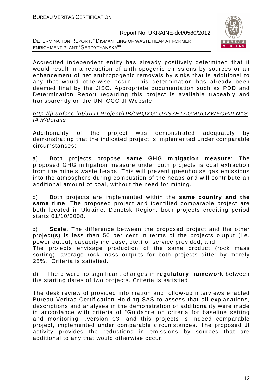DETERMINATION REPORT: "DISMANTLING OF WASTE HEAP AT FORMER ENRICHMENT PLANT "SERDYTYANSKA""



Accredited independent entity has already positively determined that it would result in a reduction of anthropogenic emissions by sources or an enhancement of net anthropogenic removals by sinks that is additional to any that would otherwise occur. This determination has already been deemed final by the JISC. Appropriate documentation such as PDD and Determination Report regarding this project is available traceably and transparently on the UNFCCC JI Website.

### http://ji.unfccc.int/JIITLProject/DB/0RQXGLUAS7ETAGMUQZWFQPJLN1S IAW/details

Additionality of the project was demonstrated adequately by demonstrating that the indicated project is implemented under comparable circumstances:

a) Both projects propose **same GHG mitigation measure:** The proposed GHG mitigation measure under both projects is coal extraction from the mine's waste heaps. This will prevent greenhouse gas emissions into the atmosphere during combustion of the heaps and will contribute an additional amount of coal, without the need for mining.

b) Both projects are implemented within the **same country and the same time**: The proposed project and identified comparable project are both located in Ukraine, Donetsk Region, both projects crediting period starts 01/10/2008.

c) **Scale.** The difference between the proposed project and the other project(s) is less than 50 per cent in terms of the projects output (i.e. power output, capacity increase, etc.) or service provided; and The projects envisage production of the same product (rock mass sorting), average rock mass outputs for both projects differ by merely 25%. Criteria is satisfied.

d) There were no significant changes in **regulatory framework** between the starting dates of two projects. Criteria is satisfied.

The desk review of provided information and follow-up interviews enabled Bureau Veritas Certification Holding SAS to assess that all explanations, descriptions and analyses in the demonstration of additionality were made in accordance with criteria of "Guidance on criteria for baseline setting and monitoring ",version 03" and this projects is indeed comparable project, implemented under comparable circumstances. The proposed JI activity provides the reductions in emissions by sources that are additional to any that would otherwise occur.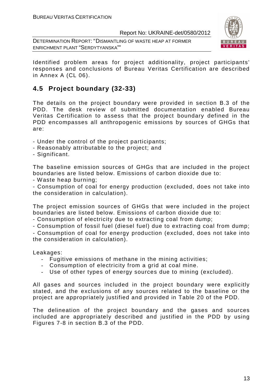DETERMINATION REPORT: "DISMANTLING OF WASTE HEAP AT FORMER ENRICHMENT PLANT "SERDYTYANSKA""



Identified problem areas for project additionality, project participants' responses and conclusions of Bureau Veritas Certification are described in Annex A (CL 06).

# **4.5 Project boundary (32-33)**

The details on the project boundary were provided in section B.3 of the PDD. The desk review of submitted documentation enabled Bureau Veritas Certification to assess that the project boundary defined in the PDD encompasses all anthropogenic emissions by sources of GHGs that are:

- Under the control of the project participants;
- Reasonably attributable to the project; and
- Significant.

The baseline emission sources of GHGs that are included in the project boundaries are listed below. Emissions of carbon dioxide due to:

- Waste heap burning;

- Consumption of coal for energy production (excluded, does not take into the consideration in calculation).

The project emission sources of GHGs that were included in the project boundaries are listed below. Emissions of carbon dioxide due to:

- Consumption of electricity due to extracting coal from dump;

- Consumption of fossil fuel (diesel fuel) due to extracting coal from dump;

- Consumption of coal for energy production (excluded, does not take into the consideration in calculation).

Leakages:

- Fugitive emissions of methane in the mining activities;
- Consumption of electricity from a grid at coal mine.
- Use of other types of energy sources due to mining (excluded).

All gases and sources included in the project boundary were explicitly stated, and the exclusions of any sources related to the baseline or the project are appropriately justified and provided in Table 20 of the PDD.

The delineation of the project boundary and the gases and sources included are appropriately described and justified in the PDD by using Figures 7-8 in section B.3 of the PDD.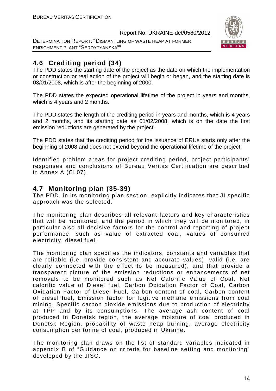DETERMINATION REPORT: "DISMANTLING OF WASTE HEAP AT FORMER ENRICHMENT PLANT "SERDYTYANSKA""



# **4.6 Crediting period (34)**

The PDD states the starting date of the project as the date on which the implementation or construction or real action of the project will begin or began, and the starting date is 03/01/2008, which is after the beginning of 2000.

The PDD states the expected operational lifetime of the project in years and months, which is 4 years and 2 months.

The PDD states the length of the crediting period in years and months, which is 4 years and 2 months, and its starting date as 01/02/2008, which is on the date the first emission reductions are generated by the project.

The PDD states that the crediting period for the issuance of ERUs starts only after the beginning of 2008 and does not extend beyond the operational lifetime of the project.

Identified problem areas for project crediting period, project participants' responses and conclusions of Bureau Veritas Certification are described in Annex A (CL07).

# **4.7 Monitoring plan (35-39)**

The PDD, in its monitoring plan section, explicitly indicates that JI specific approach was the selected.

The monitoring plan describes all relevant factors and key characteristics that will be monitored, and the period in which they will be monitored, in particular also all decisive factors for the control and reporting of project performance, such as value of extracted coal, values of consumed electricity, diesel fuel.

The monitoring plan specifies the indicators, constants and variables that are reliable (i.e. provide consistent and accurate values), valid (i.e. are clearly connected with the effect to be measured), and that provide a transparent picture of the emission reductions or enhancements of net removals to be monitored such as Net Calorific Value of Coal, Net calorific value of Diesel fuel, Carbon Oxidation Factor of Coal, Carbon Oxidation Factor of Diesel Fuel, Carbon content of coal, Carbon content of diesel fuel, Emission factor for fugitive methane emissions from coal mining, Specific carbon dioxide emissions due to production of electricity at TPP and by its consumptions, The average ash content of coal produced in Donetsk region, the average moisture of coal produced in Donetsk Region, probability of waste heap burning, average electricity consumption per tonne of coal, produced in Ukraine.

The monitoring plan draws on the list of standard variables indicated in appendix B of "Guidance on criteria for baseline setting and monitoring" developed by the JISC.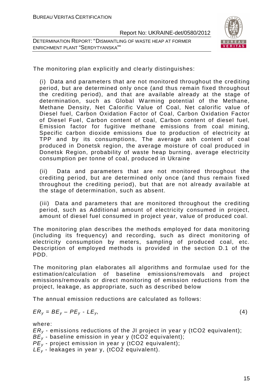DETERMINATION REPORT: "DISMANTLING OF WASTE HEAP AT FORMER ENRICHMENT PLANT "SERDYTYANSKA""



The monitoring plan explicitly and clearly distinguishes:

(i) Data and parameters that are not monitored throughout the crediting period, but are determined only once (and thus remain fixed throughout the crediting period), and that are available already at the stage of determination, such as Global Warming potential of the Methane, Methane Density, Net Calorific Value of Coal, Net calorific value of Diesel fuel, Carbon Oxidation Factor of Coal, Carbon Oxidation Factor of Diesel Fuel, Carbon content of coal, Carbon content of diesel fuel, Emission factor for fugitive methane emissions from coal mining, Specific carbon dioxide emissions due to production of electricity at TPP and by its consumptions, The average ash content of coal produced in Donetsk region, the average moisture of coal produced in Donetsk Region, probability of waste heap burning, average electricity consumption per tonne of coal, produced in Ukraine

(ii) Data and parameters that are not monitored throughout the crediting period, but are determined only once (and thus remain fixed throughout the crediting period), but that are not already available at the stage of determination, such as absent.

(iii) Data and parameters that are monitored throughout the crediting period, such as Additional amount of electricity consumed in project, amount of diesel fuel consumed in project year, value of produced coal.

The monitoring plan describes the methods employed for data monitoring (including its frequency) and recording, such as direct monitoring of electricity consumption by meters, sampling of produced coal, etc. Description of employed methods is provided in the section D.1 of the PDD.

The monitoring plan elaborates all algorithms and formulae used for the estimation/calculation of baseline emissions/removals and project emissions/removals or direct monitoring of emission reductions from the project, leakage, as appropriate, such as described below

The annual emission reductions are calculated as follows:

$$
ER_y = BE_y - PE_y - LE_y, \tag{4}
$$

where:

 $ER<sub>v</sub>$  - emissions reductions of the JI project in year y (tCO2 equivalent);

- $BE_v$  baseline emission in year y (tCO2 equivalent);
- $PE<sub>v</sub>$  project emission in year y (tCO2 equivalent);
- $LE_v$  leakages in year y, (tCO2 equivalent).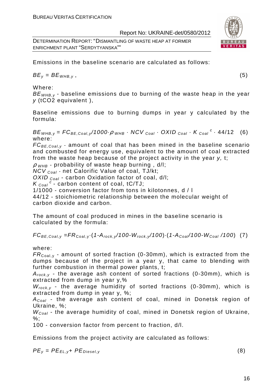DETERMINATION REPORT: "DISMANTLING OF WASTE HEAP AT FORMER ENRICHMENT PLANT "SERDYTYANSKA""

Emissions in the baseline scenario are calculated as follows:

 $BE_v = BE_{WHB.v}$ , (5)

Where:

 $BE<sub>WHB-V</sub>$  - baseline emissions due to burning of the waste heap in the year y (tCO2 equivalent ),

Baseline emissions due to burning dumps in year y calculated by the formula:

 $BE_{WHB,y} = FC_{BE,Coal,y}$ /1000 $\rho_{WHB}$  · NCV  $_{Coal}$  · OXID  $_{Coal}$  · K  $_{Coal}$  <sup>c</sup> · 44/12 (6) where:

 $FC_{BE,Coal,v}$  - amount of coal that has been mined in the baseline scenario and combusted for energy use, equivalent to the amount of coal extracted from the waste heap because of the project activity in the year y, t;

 $\rho$  <sub>WHB</sub> - probability of waste heap burning, d/l;

NCV Coal - net Calorific Value of coal, TJ/kt;

OXID  $_{Coal}$  - carbon Oxidation factor of coal, d/l;

 $K_{\text{Coal}}^c$  - carbon content of coal, tC/TJ;

1/1000 - conversion factor from tons in kilotonnes, d / l

44/12 - stoichiometric relationship between the molecular weight of carbon dioxide and carbon.

The amount of coal produced in mines in the baseline scenario is calculated by the formula:

 $FC_{BE,Coal,y} = FR_{Coal,y} \cdot (1-A_{rock,y}/100-W_{rock,y}/100) \cdot (1-A_{Coal}/100-W_{Coal}/100)$  (7)

where:

 $FR_{\text{Coal,v}}$  - amount of sorted fraction (0-30mm), which is extracted from the dumps because of the project in a year y, that came to blending with further combustion in thermal power plants, t;

 $A_{rock, v}$  - the average ash content of sorted fractions (0-30mm), which is extracted from dump in year y,%

 $W_{rock,y}$  - the average humidity of sorted fractions (0-30mm), which is extracted from dump in year y, %;

 $A_{Coal}$  - the average ash content of coal, mined in Donetsk region of Ukraine, %;

 $W_{Coal}$  - the average humidity of coal, mined in Donetsk region of Ukraine,  $\%$ :

100 - conversion factor from percent to fraction, d/l.

Emissions from the project activity are calculated as follows:

 $PE_v = PE_{FL, v} + PE_{Diesel, v}$  (8)

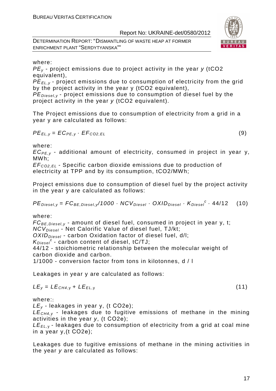DETERMINATION REPORT: "DISMANTLING OF WASTE HEAP AT FORMER ENRICHMENT PLANT "SERDYTYANSKA""



#### where:

 $PE<sub>v</sub>$  - project emissions due to project activity in the year  $v$  (tCO2 equivalent),

PE<sub>EL,y</sub> - project emissions due to consumption of electricity from the grid by the project activity in the year y (tCO2 equivalent),

 $PE_{\text{Diesel }v}$  - project emissions due to consumption of diesel fuel by the project activity in the year y (tCO2 equivalent).

The Project emissions due to consumption of electricity from a grid in a year y are calculated as follows:

$$
PE_{EL,y} = EC_{PE,y} \cdot EF_{CO2,EL}
$$
 (9)

where:

 $EC_{PE,V}$  - additional amount of electricity, consumed in project in year y, MWh;

EF<sup>C</sup>*О*2,EL - Specific carbon dioxide emissions due to production of electricity at TPP and by its consumption, tCO2/MWh;

Project emissions due to consumption of diesel fuel by the project activity in the year y are calculated as follows:

 $PE_{\text{Diesel},y} = FC_{BE,\text{Diesel},y}/1000 \cdot NCV_{\text{Diesel}} \cdot OXID_{\text{Diesel}} \cdot K_{\text{Diesel}}^c \cdot 44/12$  (10)

where:

 $FC_{BE, Diesel, y}$  - amount of diesel fuel, consumed in project in year y, t;  $NCV<sub>Discel</sub>$  - Net Calorific Value of diesel fuel, TJ/kt;  $OXID<sub>Diesel</sub>$  - carbon Oxidation factor of diesel fuel, d/l;  $K_{\text{Diesel}}^c$  - carbon content of diesel, tC/TJ; 44/12 - stoichiometric relationship between the molecular weight of carbon dioxide and carbon.

1/1000 - conversion factor from tons in kilotonnes, d / l

Leakages in year y are calculated as follows:

$$
LE_y = LE_{CH4,y} + LE_{EL,y}
$$
 (11)

where::

 $LE<sub>v</sub>$  - leakages in year y, (t CO2e);

 $LE<sub>CH4,V</sub>$  - leakages due to fugitive emissions of methane in the mining activities in the year y, (t СО2е);

 $LE_{FL, y}$  - leakages due to consumption of electricity from a grid at coal mine in a year y,(t СО2е);

Leakages due to fugitive emissions of methane in the mining activities in the year y are calculated as follows: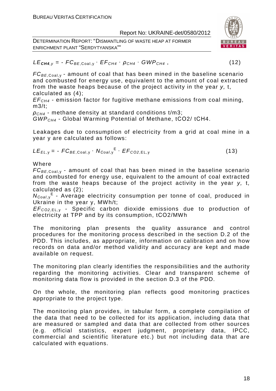DETERMINATION REPORT: "DISMANTLING OF WASTE HEAP AT FORMER ENRICHMENT PLANT "SERDYTYANSKA""



# $LE_{\text{CH4, V}} = -FC_{BE, \text{Coal}, V} \cdot EF_{\text{CH4}} \cdot \rho_{\text{CH4}} \cdot GWP_{\text{CH4}}$ , (12)

 $FC_{BE, coal,v}$  - amount of coal that has been mined in the baseline scenario and combusted for energy use, equivalent to the amount of coal extracted from the waste heaps because of the project activity in the year y, t, calculated as (4);

 $EF<sub>CH4</sub>$  - emission factor for fugitive methane emissions from coal mining, m3/t;

 $ρ<sub>CH4</sub>$  - methane density at standard conditions t/m3;

GWPCH4 - Global Warming Potential of Methane, tСО2/ tСН4.

Leakages due to consumption of electricity from a grid at coal mine in a year y are calculated as follows:

$$
LE_{EL,y} = -FC_{BE,Coal,y} \cdot N_{Coal,y}^{E} \cdot EF_{CO2,EL,y}
$$
 (13)

Where

 $FC_{BE,Coal,v}$  - amount of coal that has been mined in the baseline scenario and combusted for energy use, equivalent to the amount of coal extracted from the waste heaps because of the project activity in the year y, t, calculated as (2);

N<sub>Coal,y</sub><sup>E</sup> - Average electricity consumption per tonne of coal, produced in Ukraine in the year y, MWh/t;

EF<sup>C</sup>*О*2,EL, <sup>у</sup> - Specific carbon dioxide emissions due to production of electricity at TPP and by its consumption, tСО2/MWh

The monitoring plan presents the quality assurance and control procedures for the monitoring process described in the section D.2 of the PDD. This includes, as appropriate, information on calibration and on how records on data and/or method validity and accuracy are kept and made available on request.

The monitoring plan clearly identifies the responsibilities and the authority regarding the monitoring activities. Clear and transparent scheme of monitoring data flow is provided in the section D.3 of the PDD.

On the whole, the monitoring plan reflects good monitoring practices appropriate to the project type.

The monitoring plan provides, in tabular form, a complete compilation of the data that need to be collected for its application, including data that are measured or sampled and data that are collected from other sources (e.g. official statistics, expert judgment, proprietary data, IPCC, commercial and scientific literature etc.) but not including data that are calculated with equations.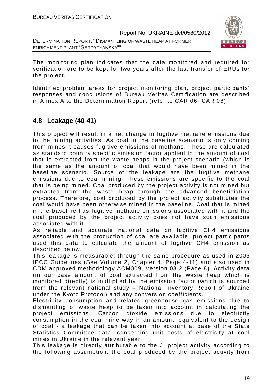DETERMINATION REPORT: "DISMANTLING OF WASTE HEAP AT FORMER ENRICHMENT PLANT "SERDYTYANSKA""



The monitoring plan indicates that the data monitored and required for verification are to be kept for two years after the last transfer of ERUs for the project.

Identified problem areas for project monitoring plan, project participants' responses and conclusions of Bureau Veritas Certification are described in Annex A to the Determination Report (refer to CAR 06- CAR 08).

# **4.8 Leakage (40-41)**

This project will result in a net change in fugitive methane emissions due to the mining activities. As coal in the baseline scenario is only coming from mines it causes fugitive emissions of methane. These are calculated as standard country specific emission factor applied to the amount of coal that is extracted from the waste heaps in the project scenario (which is the same as the amount of coal that would have been mined in the baseline scenario. Source of the leakage are the fugitive methane emissions due to coal mining. These emissions are specific to the coal that is being mined. Coal produced by the project activity is not mined but extracted from the waste heap through the advanced beneficiation process. Therefore, coal produced by the project activity substitutes the coal would have been otherwise mined in the baseline. Coal that is mined in the baseline has fugitive methane emissions associated with it and the coal produced by the project activity does not have such emissions associated with it.

As reliable and accurate national data on fugitive CH4 emissions associated with the production of coal are available, project participants used this data to calculate the amount of fugitive CH4 emission as described below.

This leakage is measurable: through the same procedure as used in 2006 IPCC Guidelines (See Volume 2, Chapter 4, Page 4-11) and also used in CDM approved methodology ACM009, Version 03.2 (Page 8). Activity data (in our case amount of coal extracted from the waste heap which is monitored directly) is multiplied by the emission factor (which is sourced from the relevant national study – National Inventory Report of Ukraine under the Kyoto Protocol) and any conversion coefficients.

Electricity consumption and related greenhouse gas emissions due to dismantling of waste heap to be taken into account in calculating the project emissions. Carbon dioxide emissions due to electricity consumption in the coal mine way in an amount, equivalent to the design of coal - a leakage that can be taken into account at base of the State Statistics Committee data, concerning unit costs of electricity at coal mines in Ukraine in the relevant year.

This leakage is directly attributable to the JI project activity according to the following assumption: the coal produced by the project activity from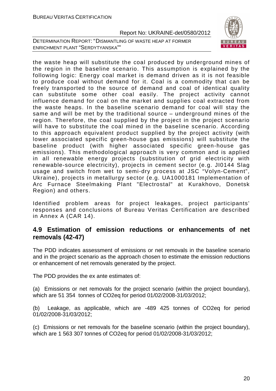DETERMINATION REPORT: "DISMANTLING OF WASTE HEAP AT FORMER ENRICHMENT PLANT "SERDYTYANSKA""



the waste heap will substitute the coal produced by underground mines of the region in the baseline scenario. This assumption is explained by the following logic: Energy coal market is demand driven as it is not feasible to produce coal without demand for it. Coal is a commodity that can be freely transported to the source of demand and coal of identical quality can substitute some other coal easily. The project activity cannot influence demand for coal on the market and supplies coal extracted from the waste heaps. In the baseline scenario demand for coal will stay the same and will be met by the traditional source – underground mines of the region. Therefore, the coal supplied by the project in the project scenario will have to substitute the coal mined in the baseline scenario. According to this approach equivalent product supplied by the project activity (with lower associated specific green-house gas emissions) will substitute the baseline product (with higher associated specific green-house gas emissions). This methodological approach is very common and is applied in all renewable energy projects (substitution of grid electricity with renewable-source electricity), projects in cement sector (e.g. JI0144 Slag usage and switch from wet to semi-dry process at JSC "Volyn-Cement", Ukraine), projects in metallurgy sector (e.g. UA1000181 Implementation of Arc Furnace Steelmaking Plant "Electrostal" at Kurakhovo, Donetsk Region) and others.

Identified problem areas for project leakages, project participants' responses and conclusions of Bureau Veritas Certification are described in Annex A (CAR 14).

# **4.9 Estimation of emission reductions or enhancements of net removals (42-47)**

The PDD indicates assessment of emissions or net removals in the baseline scenario and in the project scenario as the approach chosen to estimate the emission reductions or enhancement of net removals generated by the project.

The PDD provides the ex ante estimates of:

(a) Emissions or net removals for the project scenario (within the project boundary), which are 51 354 tonnes of CO2eq for period 01/02/2008-31/03/2012;

(b) Leakage, as applicable, which are -489 425 tonnes of CO2eq for period 01/02/2008-31/03/2012;

(c) Emissions or net removals for the baseline scenario (within the project boundary), which are 1 563 307 tonnes of CO2eq for period 01/02/2008-31/03/2012;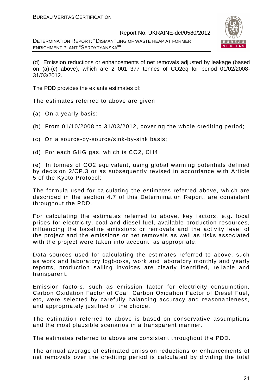DETERMINATION REPORT: "DISMANTLING OF WASTE HEAP AT FORMER ENRICHMENT PLANT "SERDYTYANSKA""



(d) Emission reductions or enhancements of net removals adjusted by leakage (based on (a)-(c) above), which are 2 001 377 tonnes of CO2eq for period 01/02/2008- 31/03/2012.

The PDD provides the ex ante estimates of:

The estimates referred to above are given:

- (a) On a yearly basis;
- (b) From 01/10/2008 to 31/03/2012, covering the whole crediting period;
- (c) On a source-by-source/sink-by-sink basis;
- (d) For each GHG gas, which is CO2, СН4

(e) In tonnes of CO2 equivalent, using global warming potentials defined by decision 2/CP.3 or as subsequently revised in accordance with Article 5 of the Kyoto Protocol;

The formula used for calculating the estimates referred above, which are described in the section 4.7 of this Determination Report, are consistent throughout the PDD.

For calculating the estimates referred to above, key factors, e.g. local prices for electricity, coal and diesel fuel, available production resources, influencing the baseline emissions or removals and the activity level of the project and the emissions or net removals as well as risks associated with the project were taken into account, as appropriate.

Data sources used for calculating the estimates referred to above, such as work and laboratory logbooks, work and laboratory monthly and yearly reports, production sailing invoices are clearly identified, reliable and transparent.

Emission factors, such as emission factor for electricity consumption, Carbon Oxidation Factor of Coal, Carbon Oxidation Factor of Diesel Fuel, etc, were selected by carefully balancing accuracy and reasonableness, and appropriately justified of the choice.

The estimation referred to above is based on conservative assumptions and the most plausible scenarios in a transparent manner.

The estimates referred to above are consistent throughout the PDD.

The annual average of estimated emission reductions or enhancements of net removals over the crediting period is calculated by dividing the total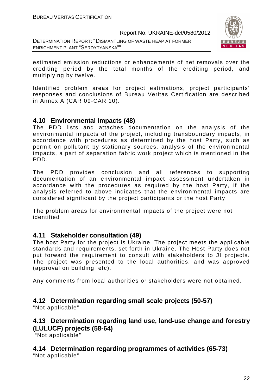DETERMINATION REPORT: "DISMANTLING OF WASTE HEAP AT FORMER ENRICHMENT PLANT "SERDYTYANSKA""



estimated emission reductions or enhancements of net removals over the crediting period by the total months of the crediting period, and multiplying by twelve.

Identified problem areas for project estimations, project participants' responses and conclusions of Bureau Veritas Certification are described in Annex A (CAR 09-CAR 10).

# **4.10 Environmental impacts (48)**

The PDD lists and attaches documentation on the analysis of the environmental impacts of the project, including transboundary impacts, in accordance with procedures as determined by the host Party, such as permit on pollutant by stationary sources, analysis of the environmental impacts, a part of separation fabric work project which is mentioned in the PDD.

The PDD provides conclusion and all references to supporting documentation of an environmental impact assessment undertaken in accordance with the procedures as required by the host Party, if the analysis referred to above indicates that the environmental impacts are considered significant by the project participants or the host Party.

The problem areas for environmental impacts of the project were not identified

# **4.11 Stakeholder consultation (49)**

The host Party for the project is Ukraine. The project meets the applicable standards and requirements, set forth in Ukraine. The Host Party does not put forward the requirement to consult with stakeholders to JI projects. The project was presented to the local authorities, and was approved (approval on building, etc).

Any comments from local authorities or stakeholders were not obtained.

# **4.12 Determination regarding small scale projects (50-57)**

"Not applicable"

# **4.13 Determination regarding land use, land-use change and forestry (LULUCF) projects (58-64)**

"Not applicable"

**4.14 Determination regarding programmes of activities (65-73)**  "Not applicable"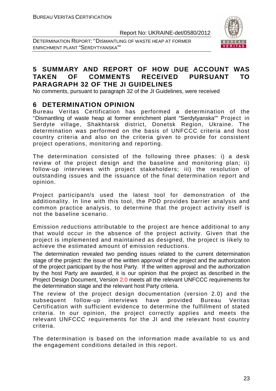DETERMINATION REPORT: "DISMANTLING OF WASTE HEAP AT FORMER ENRICHMENT PLANT "SERDYTYANSKA""



# **5 SUMMARY AND REPORT OF HOW DUE ACCOUNT WAS TAKEN OF COMMENTS RECEIVED PURSUANT TO PARAGRAPH 32 OF THE JI GUIDELINES**

No comments, pursuant to paragraph 32 of the JI Guidelines, were received

# **6 DETERMINATION OPINION**

Bureau Veritas Certification has performed a determination of the "Dismantling of waste heap at former enrichment plant "Serdytyanska"" Project in Serdyte village, Shakhtarsk district, Donetsk Region, Ukraine. The determination was performed on the basis of UNFCCC criteria and host country criteria and also on the criteria given to provide for consistent project operations, monitoring and reporting.

The determination consisted of the following three phases: i) a desk review of the project design and the baseline and monitoring plan; ii) follow-up interviews with project stakeholders; iii) the resolution of outstanding issues and the issuance of the final determination report and opinion.

Project participant/s used the latest tool for demonstration of the additionality. In line with this tool, the PDD provides barrier analysis and common practice analysis, to determine that the project activity itself is not the baseline scenario.

Emission reductions attributable to the project are hence additional to any that would occur in the absence of the project activity. Given that the project is implemented and maintained as designed, the project is likely to achieve the estimated amount of emission reductions.

The determination revealed two pending issues related to the current determination stage of the project: the issue of the written approval of the project and the authorization of the project participant by the host Party. If the written approval and the authorization by the host Party are awarded, it is our opinion that the project as described in the Project Design Document, Version 2.0 meets all the relevant UNFCCC requirements for the determination stage and the relevant host Party criteria.

The review of the project design documentation (version 2.0) and the subsequent follow-up interviews have provided Bureau Veritas Certification with sufficient evidence to determine the fulfillment of stated criteria. In our opinion, the project correctly applies and meets the relevant UNFCCC requirements for the JI and the relevant host country criteria.

The determination is based on the information made available to us and the engagement conditions detailed in this report.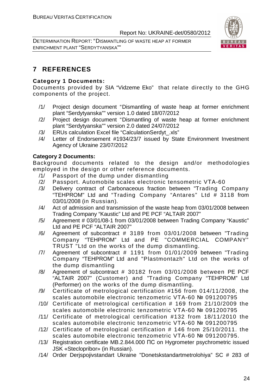DETERMINATION REPORT: "DISMANTLING OF WASTE HEAP AT FORMER ENRICHMENT PLANT "SERDYTYANSKA""



# **7 REFERENCES**

# **Category 1 Documents:**

Documents provided by SIA "Vidzeme Eko" that relate directly to the GHG components of the project.

- /1/ Project design document "Dismantling of waste heap at former enrichment plant "Serdytyanska"" version 1.0 dated 18/07/2012
- /2/ Project design document "Dismantling of waste heap at former enrichment plant "Serdytyanska"" version 2.0 dated 24/07/2012
- /3/ ERUs calculation Excel file "CalculationSerdyt\_.xls"
- /4/ Letter of Endorsement #1934/23/7 issued by State Environment Investment Agency of Ukraine 23/07/2012

# **Category 2 Documents:**

Background documents related to the design and/or methodologies employed in the design or other reference documents.

- /1/ Passport of the dump under dismantling
- /2/ Passport. Automobile scales electronic tensometric VТА-60
- /3/ Delivery contract of Carbonaceous fraction between "Trading Company "TEHPROM" Ltd and "Trading Company "Antares" Ltd # 3118 from 03/01/2008 (in Russian).
- /4/ Act of admission and transmission of the waste heap from 03/01/2008 between Trading Company "Kaustic" Ltd and PE PCF "ALTAIR 2007"
- /5/ Agreement # 03/01/08-1 from 03/01/2008 between Trading Company "Kaustic" Ltd and PE PCF "ALTAIR 2007"
- /6/ Agreement of subcontract # 3189 from 03/01/2008 between "Trading Company "TEHPROM" Ltd and PE "COMMERCIAL COMPANY" TRUST "Ltd on the works of the dump dismantling.
- /7/ Agreement of subcontract # 1191 from 01/01/2009 between "Trading Company "TEHPROM" Ltd and "Plastmontazh" Ltd on the works of the dump dismantling
- /8/ Agreement of subcontract # 30182 from 03/01/2008 between PE PCF "ALTAIR 2007" (Customer) and "Trading Company "TEHPROM" Ltd (Performer) on the works of the dump dismantling.
- /9/ Certificate of metrological certification #156 from 014/11/2008, the scales automobile electronic tenzometric VTA-60 № 091200795
- /10/ Certificate of metrological certification # 169 from 21/10/2009 the scales automobile electronic tenzometric VTA-60 № 091200795
- /11/ Certificate of metrological certification #132 from 18/11/2010 the scales automobile electronic tenzometric VTA-60 № 091200795
- /12/ Certificate of metrological certification # 146 from 25/10/2011. the scales automobile electronic tenzometric VTA-60 № 091200795.
- /13/ Registration certificate MB.2.844.000 ПС on Hygrometer psychrometric issued JSK «Steclopribor» (in Russian).
- /14/ Order Derjspojivstandart Ukraine "Donetskstandartmetrolohiya" SC # 283 of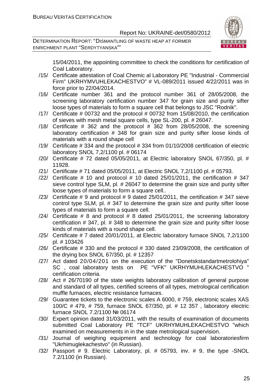DETERMINATION REPORT: "DISMANTLING OF WASTE HEAP AT FORMER ENRICHMENT PLANT "SERDYTYANSKA""



15/04/2011, the appointing committee to check the conditions for certification of Coal Laboratory.

- /15/ Certificate attestation of Coal Chemic al Laboratory PE "Industrial Commercial Firm" UKRHYMVUHLEKACHESTVO" # VL-089/2011 issued 4/22/2011 was in force prior to 22/04/2014.
- /16/ Certificate number 361 and the protocol number 361 of 28/05/2008, the screening laboratory certification number 347 for grain size and purity sifter loose types of materials to form a square cell that belongs to JSC "Rodnik".
- /17/ Certificate # 00732 and the protocol # 00732 from 15/08/2010, the certification of sieves with mesh metal square cells, type SL-200, pl. # 26047.
- /18/ Certificate  $\#$  362 and the protocol  $\#$  362 from 28/05/2008, the screening laboratory certification # 348 for grain size and purity sifter loose kinds of materials with a round shape cell
- /19/ Certificate # 334 and the protocol # 334 from 01/10/2008 certification of electric laboratory SNOL 7,2/1100 pl. # 06174
- /20/ Certificate # 72 dated 05/05/2011, at Electric laboratory SNOL 67/350, pl. # 11928.
- /21/ Certificate # 71 dated 05/05/2011, at Electric SNOL 7,2/1100 pl. # 05793.
- /22/ Certificate  $\#$  10 and protocol  $\#$  10 dated 25/01/2011, the certification  $\#$  347 sieve control type SLM, pl. # 26047 to determine the grain size and purity sifter loose types of materials to form a square cell..
- $/23/$  Certificate # 9 and protocol # 9 dated 25/01/2011, the certification # 347 sieve control type SLM, pl. # 347 to determine the grain size and purity sifter loose types of materials to form a square cell.
- $/24/$  Certificate # 8 and protocol # 8 dated 25/01/2011, the screening laboratory certification # 347, pl. # 348 to determine the grain size and purity sifter loose kinds of materials with a round shape cell.
- /25/ Certificate # 7 dated 20/01/2011, at Electric laboratory furnace SNOL 7,2/1100 pl. # 103426
- /26/ Certificate # 330 and the protocol # 330 dated 23/09/2008, the certification of the drying box SNOL 67/350, pl. # 12357
- /27/ Act dated 20/04/201 on the execution of the "Donetskstandartmetrolohiya" SC , coal laboratory tests on PE "VFK" UKRHYMUHLEKACHESTVO " certification criteria.
- /28/ Act # 26/70190 of the state weights laboratory calibration of general purpose and standard of all types, certified screens of all types, metrological certification muffle furnaces, electric resistance furnaces.
- /29/ Guarantee tickets to the electronic scales A 6000, # 759, electronic scales XAS 100/C # 479, # 759, furnace SNOL 67/350, pl. # 12 357 , laboratory electric furnace SNOL 7.2/1100 № 06174
- /30/ Expert opinion dated 31/03/2011, with the results of examination of documents submitted Coal Laboratory PE "TCF" UKRHYMUHLEKACHESTVO "which examined on measurements in in the state metrological supervision.
- /31/ Journal of weighing equipment and technology for coal laboratoriesfirm "Ukrhimuglekachestvo" (in Russian).
- /32/ Passport # 9. Electric Laboratory, pl. # 05793, inv. # 9, the type -SNOL 7.2/1100 (in Russian).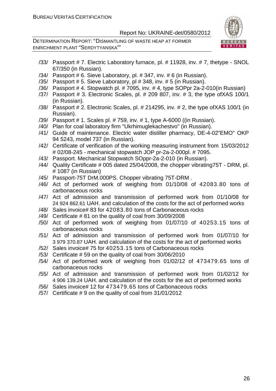DETERMINATION REPORT: "DISMANTLING OF WASTE HEAP AT FORMER ENRICHMENT PLANT "SERDYTYANSKA""



- /33/ Passport # 7. Electric Laboratory furnace, pl. # 11928, inv. # 7, thetype SNOL 67/350 (in Russian).
- /34/ Passport # 6. Sieve Laboratory, pl. # 347, inv. # 6 (in Russian).
- /35/ Passport # 5. Sieve Laboratory, pl # 348, inv. # 5 (in Russian).
- /36/ Passport # 4. Stopwatch pl. # 7095, inv. # 4, type SOPpr 2a-2-010(in Russian)
- /37/ Passport # 3. Electronic Scales, pl. # 209 807, inv. # 3, the type ofXAS 100/1 (in Russian).
- /38/ Passport # 2. Electronic Scales, pl. # 214295, inv. # 2, the type ofXAS 100/1 (in Russian).
- /39/ Passport # 1. Scales pl. # 759, inv. # 1, type A-6000 ((in Russian).
- /40/ Plan for coal laboratory firm "Ukrhimuglekachestvo" (in Russian).
- /41/ Guide of maintenance. Electric water distiller pharmacy, DE-4-02"EMO" OKP 94 5243, model 737 (in Russian).
- /42/ Certificate of verification of the working measuring instrument from 15/03/2012 # 02/08-245 - mechanical stopwatch JOP pr-2a-2-000pl. # 7095.
- /43/ Passport. Mechanical Stopwatch SOppr-2a-2-010 (in Russian).
- /44/ Quality Certificate # 005 dated 25/04/2008, the chopper vibrating75T DRM, pl. # 1087 (in Russian)
- /45/ Passport-75T DrM.000PS. Chopper vibrating 75T-DRM .
- /46/ Act of performed work of weighing from 01/10/08 of 42083.80 tons of carbonaceous rocks
- /47/ Act of admission and transmission of performed work from 01/10/08 for 24 924 862.61 UAH. and calculation of the costs for the act of performed works
- /48/ Sales invoice# 83 for 42083.80 tons of Carbonaceous rocks
- /49/ Certificate # 81 on the quality of coal from 30/09/2008
- /50/ Act of performed work of weighing from 01/07/10 of 40253.15 tons of carbonaceous rocks
- /51/ Act of admission and transmission of performed work from 01/07/10 for 3 979 370.87 UAH. and calculation of the costs for the act of performed works
- /52/ Sales invoice# 75 for 40253.15 tons of Carbonaceous rocks
- /53/ Certificate # 59 on the quality of coal from 30/06/2010
- /54/ Act of performed work of weighing from 01/02/12 of 473479.65 tons of carbonaceous rocks
- /55/ Act of admission and transmission of performed work from 01/02/12 for 4 906 139.24 UAH. and calculation of the costs for the act of performed works
- /56/ Sales invoice# 12 for 473479.65 tons of Carbonaceous rocks
- /57/ Certificate # 9 on the quality of coal from 31/01/2012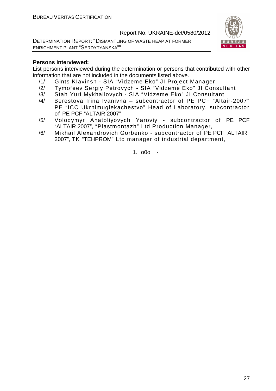DETERMINATION REPORT: "DISMANTLING OF WASTE HEAP AT FORMER ENRICHMENT PLANT "SERDYTYANSKA""



#### **Persons interviewed:**

List persons interviewed during the determination or persons that contributed with other information that are not included in the documents listed above.

- /1/ Gints KIavinsh SIA "Vidzeme Eko" JI Project Manager
- /2/ Tymofeev Sergiy Petrovych SIA "Vidzeme Eko" JI Consultant
- /3/ Stah Yuri Mykhailovych SIA "Vidzeme Eko" JI Consultant
- /4/ Berestova Irina Ivanivna subcontractor of PE PCF "Altair-2007" PE "ICC Ukrhimuglekachestvo" Head of Laboratory, subcontractor of PE PCF "ALTAIR 2007"
- /5/ Volodymyr Anatoliyovych Yaroviy subcontractor of PE PCF "ALTAIR 2007", "Plastmontazh" Ltd Production Manager,
- /6/ Mikhail Alexandrovich Gorbenko subcontractor of PE PCF "ALTAIR 2007", TK "TEHPROM" Ltd manager of industrial department,

1. o0o -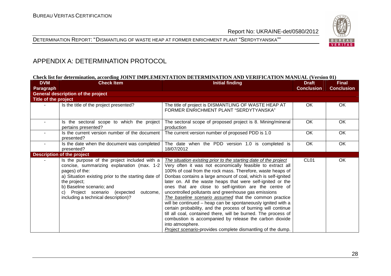# DETERMINATION REPORT: "DISMANTLING OF WASTE HEAP AT FORMER ENRICHMENT PLANT "SERDYTYANSKA""



# APPENDIX A: DETERMINATION PROTOCOL

#### **Check list for determination, according JOINT IMPLEMENTATION DETERMINATION AND VERIFICATION MANUAL (Version 01)**

| <b>DVM</b>           | <b>Check Item</b>                                                                                                                                                                                                                                                                                     | <b>Initial finding</b>                                                                                                                                                                                                                                                                                                                                                                                                                                                                                                                                                                                                                                                                                                                                                                                                                                    | <b>Draft</b>      | <b>Final</b>      |
|----------------------|-------------------------------------------------------------------------------------------------------------------------------------------------------------------------------------------------------------------------------------------------------------------------------------------------------|-----------------------------------------------------------------------------------------------------------------------------------------------------------------------------------------------------------------------------------------------------------------------------------------------------------------------------------------------------------------------------------------------------------------------------------------------------------------------------------------------------------------------------------------------------------------------------------------------------------------------------------------------------------------------------------------------------------------------------------------------------------------------------------------------------------------------------------------------------------|-------------------|-------------------|
| Paragraph            |                                                                                                                                                                                                                                                                                                       |                                                                                                                                                                                                                                                                                                                                                                                                                                                                                                                                                                                                                                                                                                                                                                                                                                                           | <b>Conclusion</b> | <b>Conclusion</b> |
|                      | <b>General description of the project</b>                                                                                                                                                                                                                                                             |                                                                                                                                                                                                                                                                                                                                                                                                                                                                                                                                                                                                                                                                                                                                                                                                                                                           |                   |                   |
| Title of the project |                                                                                                                                                                                                                                                                                                       |                                                                                                                                                                                                                                                                                                                                                                                                                                                                                                                                                                                                                                                                                                                                                                                                                                                           |                   |                   |
|                      | Is the title of the project presented?                                                                                                                                                                                                                                                                | The title of project is DISMANTLING OF WASTE HEAP AT<br>FORMER ENRICHMENT PLANT "SERDYTYANSKA"                                                                                                                                                                                                                                                                                                                                                                                                                                                                                                                                                                                                                                                                                                                                                            | OK.               | <b>OK</b>         |
| $\sim$               | Is the sectoral scope to which the project<br>pertains presented?                                                                                                                                                                                                                                     | The sectoral scope of proposed project is 8. Mining/mineral<br>production                                                                                                                                                                                                                                                                                                                                                                                                                                                                                                                                                                                                                                                                                                                                                                                 | OK                | OK                |
|                      | Is the current version number of the document<br>presented?                                                                                                                                                                                                                                           | The current version number of proposed PDD is 1.0                                                                                                                                                                                                                                                                                                                                                                                                                                                                                                                                                                                                                                                                                                                                                                                                         | OK                | OK                |
|                      | Is the date when the document was completed<br>presented?                                                                                                                                                                                                                                             | The date when the PDD version 1.0 is completed is<br>18/07/2012                                                                                                                                                                                                                                                                                                                                                                                                                                                                                                                                                                                                                                                                                                                                                                                           | OK                | OK                |
|                      | <b>Description of the project</b>                                                                                                                                                                                                                                                                     |                                                                                                                                                                                                                                                                                                                                                                                                                                                                                                                                                                                                                                                                                                                                                                                                                                                           |                   |                   |
|                      | Is the purpose of the project included with a<br>concise, summarizing explanation (max. 1-2<br>pages) of the:<br>a) Situation existing prior to the starting date of<br>the project;<br>b) Baseline scenario; and<br>c) Project scenario (expected<br>outcome,<br>including a technical description)? | The situation existing prior to the starting date of the project<br>Very often it was not economically feasible to extract all<br>100% of coal from the rock mass. Therefore, waste heaps of<br>Donbas contains a large amount of coal, which is self-ignited<br>later on. All the waste heaps that were self-ignited or the<br>ones that are close to self-ignition are the centre of<br>uncontrolled pollutants and greenhouse gas emissions<br>The baseline scenario assumed that the common practice<br>will be continued - heap can be spontaneously ignited with a<br>certain probability, and the process of burning will continue<br>till all coal, contained there, will be burned. The process of<br>combustion is accompanied by release the carbon dioxide<br>into atmosphere.<br>Project scenario-provides complete dismantling of the dump. | CL <sub>01</sub>  | OK.               |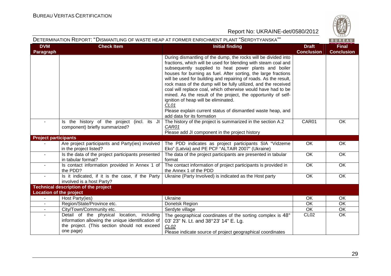

| DETERMINATION REPORT: "DISMANTLING OF WASTE HEAP AT FORMER ENRICHMENT PLANT "SERDYTYANSKA""<br>BUREAU |                                                                                                                                                              |                                                                                                                                                                                                                                                                                                                                                                                                                                                                                                                                                                                                                                                                                 |                                   |                                   |  |
|-------------------------------------------------------------------------------------------------------|--------------------------------------------------------------------------------------------------------------------------------------------------------------|---------------------------------------------------------------------------------------------------------------------------------------------------------------------------------------------------------------------------------------------------------------------------------------------------------------------------------------------------------------------------------------------------------------------------------------------------------------------------------------------------------------------------------------------------------------------------------------------------------------------------------------------------------------------------------|-----------------------------------|-----------------------------------|--|
| <b>DVM</b><br>Paragraph                                                                               | <b>Check Item</b>                                                                                                                                            | <b>Initial finding</b>                                                                                                                                                                                                                                                                                                                                                                                                                                                                                                                                                                                                                                                          | <b>Draft</b><br><b>Conclusion</b> | <b>Final</b><br><b>Conclusion</b> |  |
|                                                                                                       |                                                                                                                                                              | During dismantling of the dump, the rocks will be divided into<br>fractions, which will be used for blending with steam coal and<br>subsequently supplied to heat power plants and boiler<br>houses for burning as fuel. After sorting, the large fractions<br>will be used for building and repairing of roads. As the result,<br>rock mass of the dump will be fully utilized, and the received<br>coal will replace coal, which otherwise would have had to be<br>mined. As the result of the project, the opportunity of self-<br>ignition of heap will be eliminated.<br>CL01<br>Please explain current status of dismantled waste heap, and<br>add data for its formation |                                   |                                   |  |
|                                                                                                       | Is the history of the project (incl. its JI<br>component) briefly summarized?                                                                                | The history of the project is summarized in the section A.2<br>CAR01<br>Please add JI component in the project history                                                                                                                                                                                                                                                                                                                                                                                                                                                                                                                                                          | CAR01                             | OK                                |  |
| <b>Project participants</b>                                                                           |                                                                                                                                                              |                                                                                                                                                                                                                                                                                                                                                                                                                                                                                                                                                                                                                                                                                 |                                   |                                   |  |
|                                                                                                       | Are project participants and Party(ies) involved<br>in the project listed?                                                                                   | The PDD indicates as project participants SIA "Vidzeme<br>Eko" (Latvia) and PE PCF "ALTAIR 2007" (Ukraine)                                                                                                                                                                                                                                                                                                                                                                                                                                                                                                                                                                      | OK.                               | OK.                               |  |
| $\sim$                                                                                                | Is the data of the project participants presented<br>in tabular format?                                                                                      | The data of the project participants are presented in tabular<br>format                                                                                                                                                                                                                                                                                                                                                                                                                                                                                                                                                                                                         | OK                                | OK                                |  |
| $\sim$                                                                                                | Is contact information provided in Annex 1 of<br>the PDD?                                                                                                    | The contact information of project participants is provided in<br>the Annex 1 of the PDD                                                                                                                                                                                                                                                                                                                                                                                                                                                                                                                                                                                        | OK                                | OK                                |  |
| $\sim$                                                                                                | Is it indicated, if it is the case, if the Party<br>involved is a host Party?                                                                                | Ukraine (Party Involved) is indicated as the Host party                                                                                                                                                                                                                                                                                                                                                                                                                                                                                                                                                                                                                         | OK                                | OK                                |  |
|                                                                                                       | <b>Technical description of the project</b>                                                                                                                  |                                                                                                                                                                                                                                                                                                                                                                                                                                                                                                                                                                                                                                                                                 |                                   |                                   |  |
| <b>Location of the project</b>                                                                        |                                                                                                                                                              |                                                                                                                                                                                                                                                                                                                                                                                                                                                                                                                                                                                                                                                                                 |                                   |                                   |  |
| $\sim$                                                                                                | Host Party(ies)                                                                                                                                              | Ukraine                                                                                                                                                                                                                                                                                                                                                                                                                                                                                                                                                                                                                                                                         | OK                                | OK                                |  |
|                                                                                                       | Region/State/Province etc.                                                                                                                                   | Donetsk Region                                                                                                                                                                                                                                                                                                                                                                                                                                                                                                                                                                                                                                                                  | <b>OK</b>                         | OK                                |  |
|                                                                                                       | City/Town/Community etc.                                                                                                                                     | Serdyte village                                                                                                                                                                                                                                                                                                                                                                                                                                                                                                                                                                                                                                                                 | $\overline{OK}$                   | $\overline{OK}$                   |  |
| $\sim$                                                                                                | Detail of the physical location, including<br>information allowing the unique identification of<br>the project. (This section should not exceed<br>one page) | The geographical coordinates of the sorting complex is 48°<br>03' 23" N. Lt. and 38° 23' 14" E. Lg.<br>CL <sub>02</sub><br>Please indicate source of project geographical coordinates                                                                                                                                                                                                                                                                                                                                                                                                                                                                                           | CL <sub>02</sub>                  | OK                                |  |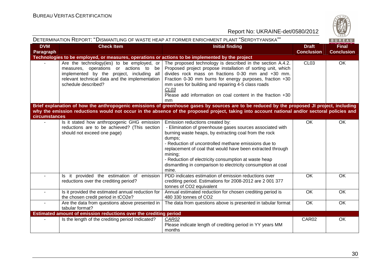

| DETERMINATION REPORT: "DISMANTLING OF WASTE HEAP AT FORMER ENRICHMENT PLANT "SERDYTYANSKA""<br>BUREAU |                                                                                                                                                                                                           |                                                                                                                                                                                                                                                                                                                                                                                                                                   |                                   |                                   |
|-------------------------------------------------------------------------------------------------------|-----------------------------------------------------------------------------------------------------------------------------------------------------------------------------------------------------------|-----------------------------------------------------------------------------------------------------------------------------------------------------------------------------------------------------------------------------------------------------------------------------------------------------------------------------------------------------------------------------------------------------------------------------------|-----------------------------------|-----------------------------------|
| <b>DVM</b><br>Paragraph                                                                               | <b>Check Item</b>                                                                                                                                                                                         | <b>Initial finding</b>                                                                                                                                                                                                                                                                                                                                                                                                            | <b>Draft</b><br><b>Conclusion</b> | <b>Final</b><br><b>Conclusion</b> |
|                                                                                                       | Technologies to be employed, or measures, operations or actions to be implemented by the project                                                                                                          |                                                                                                                                                                                                                                                                                                                                                                                                                                   |                                   |                                   |
|                                                                                                       | Are the technology(ies) to be employed, or<br>measures, operations or actions to be<br>implemented by the project, including all<br>relevant technical data and the implementation<br>schedule described? | The proposed technology is described in the section A.4.2.<br>Proposed project propose installation of sorting unit, which<br>divides rock mass on fractions 0-30 mm and +30 mm.<br>Fraction 0-30 mm burns for energy purposes, fraction +30<br>mm uses for building and repairing 4-5 class roads<br>CL <sub>03</sub><br>Please add information on coal content in the fraction +30<br>mm                                        | CL <sub>03</sub>                  | OK                                |
| circumstances                                                                                         |                                                                                                                                                                                                           | Brief explanation of how the anthropogenic emissions of greenhouse gases by sources are to be reduced by the proposed JI project, including<br>why the emission reductions would not occur in the absence of the proposed project, taking into account national and/or sectoral policies and                                                                                                                                      |                                   |                                   |
|                                                                                                       | Is it stated how anthropogenic GHG emission<br>reductions are to be achieved? (This section<br>should not exceed one page)                                                                                | Emission reductions created by:<br>- Elimination of greenhouse gases sources associated with<br>burning waste heaps, by extracting coal from the rock<br>dumps;<br>- Reduction of uncontrolled methane emissions due to<br>replacement of coal that would have been extracted through<br>mining;<br>- Reduction of electricity consumption at waste heap<br>dismantling in comparison to electricity consumption at coal<br>mine. | <b>OK</b>                         | OK                                |
|                                                                                                       | Is it provided the estimation of emission<br>reductions over the crediting period?                                                                                                                        | PDD indicates estimation of emission reductions over<br>crediting period. Estimations for 2008-2012 are 2 001 377<br>tonnes of CO2 equivalent                                                                                                                                                                                                                                                                                     | <b>OK</b>                         | OK                                |
| $\sim$                                                                                                | Is it provided the estimated annual reduction for<br>the chosen credit period in tCO2e?                                                                                                                   | Annual estimated reduction for chosen crediting period is<br>480 330 tonnes of CO2                                                                                                                                                                                                                                                                                                                                                | OK                                | OK                                |
| $\blacksquare$                                                                                        | Are the data from questions above presented in<br>tabular format?                                                                                                                                         | The data from questions above is presented in tabular format                                                                                                                                                                                                                                                                                                                                                                      | OK                                | OK                                |
|                                                                                                       | Estimated amount of emission reductions over the crediting period                                                                                                                                         |                                                                                                                                                                                                                                                                                                                                                                                                                                   |                                   |                                   |
|                                                                                                       | Is the length of the crediting period Indicated?                                                                                                                                                          | CAR02<br>Please indicate length of crediting period in YY years MM<br>months                                                                                                                                                                                                                                                                                                                                                      | CAR02                             | OK                                |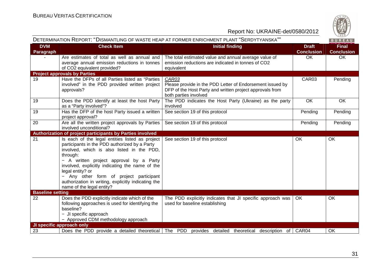

| DETERMINATION REPORT: "DISMANTLING OF WASTE HEAP AT FORMER ENRICHMENT PLANT "SERDYTYANSKA"" |                                                                                                                                                                                                                                                                                                                                                                                                           |                                                                                                                                                         |                                   |                                   |  |
|---------------------------------------------------------------------------------------------|-----------------------------------------------------------------------------------------------------------------------------------------------------------------------------------------------------------------------------------------------------------------------------------------------------------------------------------------------------------------------------------------------------------|---------------------------------------------------------------------------------------------------------------------------------------------------------|-----------------------------------|-----------------------------------|--|
| <b>DVM</b><br>Paragraph                                                                     | <b>Check Item</b>                                                                                                                                                                                                                                                                                                                                                                                         | <b>Initial finding</b>                                                                                                                                  | <b>Draft</b><br><b>Conclusion</b> | <b>Final</b><br><b>Conclusion</b> |  |
|                                                                                             | Are estimates of total as well as annual and<br>average annual emission reductions in tonnes<br>of CO2 equivalent provided?                                                                                                                                                                                                                                                                               | The total estimated value and annual average value of<br>emission reductions are indicated in tonnes of CO2<br>equivalent                               | OK                                | OK                                |  |
|                                                                                             | <b>Project approvals by Parties</b>                                                                                                                                                                                                                                                                                                                                                                       |                                                                                                                                                         |                                   |                                   |  |
| 19                                                                                          | Have the DFPs of all Parties listed as "Parties<br>involved" in the PDD provided written project<br>approvals?                                                                                                                                                                                                                                                                                            | CAR03<br>Please provide in the PDD Letter of Endorsement issued by<br>DFP of the Host Party and written project approvals from<br>both parties involved | CAR03                             | Pending                           |  |
| 19                                                                                          | Does the PDD identify at least the host Party<br>as a "Party involved"?                                                                                                                                                                                                                                                                                                                                   | The PDD indicates the Host Party (Ukraine) as the party<br>involved                                                                                     | OK                                | OK                                |  |
| 19                                                                                          | Has the DFP of the host Party issued a written<br>project approval?                                                                                                                                                                                                                                                                                                                                       | See section 19 of this protocol                                                                                                                         | Pending                           | Pending                           |  |
| 20                                                                                          | Are all the written project approvals by Parties<br>involved unconditional?                                                                                                                                                                                                                                                                                                                               | See section 19 of this protocol                                                                                                                         | Pending                           | Pending                           |  |
|                                                                                             | Authorization of project participants by Parties involved                                                                                                                                                                                                                                                                                                                                                 |                                                                                                                                                         |                                   |                                   |  |
| 21                                                                                          | Is each of the legal entities listed as project<br>participants in the PDD authorized by a Party<br>involved, which is also listed in the PDD,<br>through:<br>- A written project approval by a Party<br>involved, explicitly indicating the name of the<br>legal entity? or<br>Any other form of project participant<br>authorization in writing, explicitly indicating the<br>name of the legal entity? | See section 19 of this protocol                                                                                                                         | OK                                | OK                                |  |
| <b>Baseline setting</b>                                                                     |                                                                                                                                                                                                                                                                                                                                                                                                           |                                                                                                                                                         |                                   |                                   |  |
| 22                                                                                          | Does the PDD explicitly indicate which of the<br>following approaches is used for identifying the<br>baseline?<br>- JI specific approach<br>- Approved CDM methodology approach                                                                                                                                                                                                                           | The PDD explicitly indicates that JI specific approach was<br>used for baseline establishing                                                            | OK.                               | OK                                |  |
|                                                                                             | JI specific approach only                                                                                                                                                                                                                                                                                                                                                                                 |                                                                                                                                                         |                                   |                                   |  |
| 23                                                                                          |                                                                                                                                                                                                                                                                                                                                                                                                           | Does the PDD provide a detailed theoretical The PDD provides detailed theoretical description of CAR04                                                  |                                   | OK                                |  |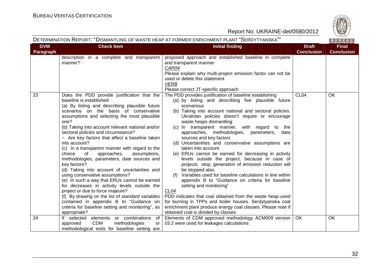

|                         |                                                                                                                                                                                                                                                                                                                                                                                                                                                                                                                                                                                                                                                                                                                                                                                                                                                                                                                                                      | DETERMINATION REPORT: "DISMANTLING OF WASTE HEAP AT FORMER ENRICHMENT PLANT "SERDYTYANSKA""                                                                                                                                                                                                                                                                                                                                                                                                                                                                                                                                                                                                                                                                                                                                                                                                                                                                                                                                                                          |                                   | BUREAU                            |  |
|-------------------------|------------------------------------------------------------------------------------------------------------------------------------------------------------------------------------------------------------------------------------------------------------------------------------------------------------------------------------------------------------------------------------------------------------------------------------------------------------------------------------------------------------------------------------------------------------------------------------------------------------------------------------------------------------------------------------------------------------------------------------------------------------------------------------------------------------------------------------------------------------------------------------------------------------------------------------------------------|----------------------------------------------------------------------------------------------------------------------------------------------------------------------------------------------------------------------------------------------------------------------------------------------------------------------------------------------------------------------------------------------------------------------------------------------------------------------------------------------------------------------------------------------------------------------------------------------------------------------------------------------------------------------------------------------------------------------------------------------------------------------------------------------------------------------------------------------------------------------------------------------------------------------------------------------------------------------------------------------------------------------------------------------------------------------|-----------------------------------|-----------------------------------|--|
| <b>DVM</b><br>Paragraph | <b>Check Item</b>                                                                                                                                                                                                                                                                                                                                                                                                                                                                                                                                                                                                                                                                                                                                                                                                                                                                                                                                    | <b>Initial finding</b>                                                                                                                                                                                                                                                                                                                                                                                                                                                                                                                                                                                                                                                                                                                                                                                                                                                                                                                                                                                                                                               | <b>Draft</b><br><b>Conclusion</b> | <b>Final</b><br><b>Conclusion</b> |  |
|                         | description in a complete and transparent<br>manner?                                                                                                                                                                                                                                                                                                                                                                                                                                                                                                                                                                                                                                                                                                                                                                                                                                                                                                 | proposed approach and established baseline in complete<br>and transparent manner<br>CAR04<br>Please explain why multi-project emission factor can not be<br>used or delete this statement<br><b>VERB</b><br>Please correct JT-specific approach                                                                                                                                                                                                                                                                                                                                                                                                                                                                                                                                                                                                                                                                                                                                                                                                                      |                                   |                                   |  |
| 23                      | Does the PDD provide justification that the<br>baseline is established:<br>(a) By listing and describing plausible future<br>scenarios on the basis of conservative<br>assumptions and selecting the most plausible<br>one?<br>(b) Taking into account relevant national and/or<br>sectoral policies and circumstance?<br>- Are key factors that affect a baseline taken<br>into account?<br>(c) In a transparent manner with regard to the<br>choice<br>of<br>approaches,<br>assumptions,<br>methodologies, parameters, date sources and<br>key factors?<br>(d) Taking into account of uncertainties and<br>using conservative assumptions?<br>(e) In such a way that ERUs cannot be earned<br>for decreases in activity levels outside the<br>project or due to force majeure?<br>(f) By drawing on the list of standard variables<br>contained in appendix B to "Guidance on<br>criteria for baseline setting and monitoring", as<br>appropriate? | The PDD provides justification of baseline establishing<br>(a) by listing and describing five plausible future<br>scenarious<br>(b) Taking into account national and sectoral policies.<br>Ukrainian policies doesn't require or encourage<br>waste heaps dismantling<br>(c) In transparent manner, with regard to the<br>approaches, methodologies, parameters,<br>data<br>sources and key factors<br>(d) Uncertaintites and conservative assumptions are<br>taken into account<br>(e) ERUs cannot be earned for decreasing in activity<br>levels outside the project, because in case of<br>projects stop, generation of emission reduction will<br>be stopped also.<br>Variables used for baseline calculations in line within<br>appendix B to "Guidance on criteria for baseline<br>setting and monitoring"<br>CL <sub>04</sub><br>PDD indicates that coal obtained from the waste heap used<br>for burning in TPPs and boiler houses. Serdytyanska coal<br>enrichment plant produce energy coal classes. Please note if<br>obtained coal is divided by classes | CL <sub>04</sub>                  | <b>OK</b>                         |  |
| 24                      | If selected elements or combinations<br>of<br><b>CDM</b><br>methodologies<br>approved<br>or<br>methodological tools for baseline setting are                                                                                                                                                                                                                                                                                                                                                                                                                                                                                                                                                                                                                                                                                                                                                                                                         | Elements of CDM approved methodology ACM009 version<br>03.2 were used for leakages calculations                                                                                                                                                                                                                                                                                                                                                                                                                                                                                                                                                                                                                                                                                                                                                                                                                                                                                                                                                                      | OK                                | <b>OK</b>                         |  |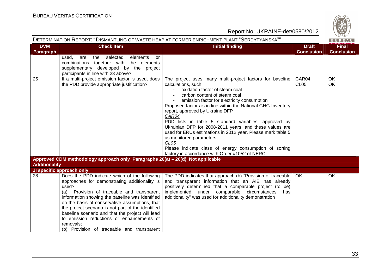

|                         |                                                                                                                                                                                                                                                                                                                                                                                                                                                                             | DETERMINATION REPORT: "DISMANTLING OF WASTE HEAP AT FORMER ENRICHMENT PLANT "SERDYTYANSKA""                                                                                                                                                                                                                                                                                                                                                                                                                                                                                                                                                                |                                   | BUREAU                            |
|-------------------------|-----------------------------------------------------------------------------------------------------------------------------------------------------------------------------------------------------------------------------------------------------------------------------------------------------------------------------------------------------------------------------------------------------------------------------------------------------------------------------|------------------------------------------------------------------------------------------------------------------------------------------------------------------------------------------------------------------------------------------------------------------------------------------------------------------------------------------------------------------------------------------------------------------------------------------------------------------------------------------------------------------------------------------------------------------------------------------------------------------------------------------------------------|-----------------------------------|-----------------------------------|
| <b>DVM</b><br>Paragraph | <b>Check Item</b>                                                                                                                                                                                                                                                                                                                                                                                                                                                           | <b>Initial finding</b>                                                                                                                                                                                                                                                                                                                                                                                                                                                                                                                                                                                                                                     | <b>Draft</b><br><b>Conclusion</b> | <b>Final</b><br><b>Conclusion</b> |
|                         | the selected<br>used.<br>are<br>elements<br>or<br>combinations together with the elements<br>supplementary developed by the project<br>participants in line with 23 above?                                                                                                                                                                                                                                                                                                  |                                                                                                                                                                                                                                                                                                                                                                                                                                                                                                                                                                                                                                                            |                                   |                                   |
| 25                      | If a multi-project emission factor is used, does<br>the PDD provide appropriate justification?                                                                                                                                                                                                                                                                                                                                                                              | The project uses many multi-project factors for baseline<br>calculations, such<br>oxidation factor of steam coal<br>carbon content of steam coal<br>emission factor for electricity consumption<br>Proposed factors is in line within the National GHG Inventory<br>report, approved by Ukraine DFP<br>CAR04<br>PDD lists in table 5 standard variables, approved by<br>Ukrainian DFP for 2008-2011 years, and these values are<br>used for ERUs estimations in 2012 year. Please mark table 5<br>as monitored parameters.<br>CL <sub>05</sub><br>Please indicate class of energy consumption of sorting<br>factory in accordance with Order #1052 of NERC | CAR04<br>CL <sub>05</sub>         | <b>OK</b><br>OK                   |
| <b>Additionality</b>    | Approved CDM methodology approach only_Paragraphs 26(a) - 26(d)_Not applicable                                                                                                                                                                                                                                                                                                                                                                                              |                                                                                                                                                                                                                                                                                                                                                                                                                                                                                                                                                                                                                                                            |                                   |                                   |
|                         | JI specific approach only                                                                                                                                                                                                                                                                                                                                                                                                                                                   |                                                                                                                                                                                                                                                                                                                                                                                                                                                                                                                                                                                                                                                            |                                   |                                   |
| 28                      | Does the PDD indicate which of the following<br>approaches for demonstrating additionality is<br>used?<br>(a) Provision of traceable and transparent<br>information showing the baseline was identified<br>on the basis of conservative assumptions, that<br>the project scenario is not part of the identified<br>baseline scenario and that the project will lead<br>to emission reductions or enhancements of<br>removals;<br>(b) Provision of traceable and transparent | The PDD indicates that approach (b) "Provision of traceable  <br>and transparent information that an AIE has already<br>positively determined that a comparable project (to be)<br>implemented under comparable circumstances<br>has<br>additionality" was used for additionality demonstration                                                                                                                                                                                                                                                                                                                                                            | OK                                | OK                                |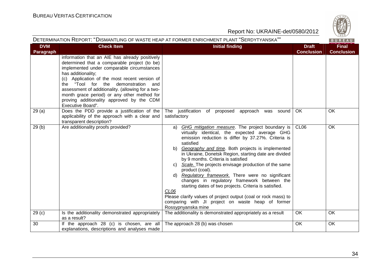

|                         | DETERMINATION REPORT: "DISMANTLING OF WASTE HEAP AT FORMER ENRICHMENT PLANT "SERDYTYANSKA""                                                                                                                                                                                                                                                                                                                                         |                                                                                                                                                                                                                                                                                                                                                                                                                                                                                                                                                                                                                                                                                                                                      |                                   |                                   |  |
|-------------------------|-------------------------------------------------------------------------------------------------------------------------------------------------------------------------------------------------------------------------------------------------------------------------------------------------------------------------------------------------------------------------------------------------------------------------------------|--------------------------------------------------------------------------------------------------------------------------------------------------------------------------------------------------------------------------------------------------------------------------------------------------------------------------------------------------------------------------------------------------------------------------------------------------------------------------------------------------------------------------------------------------------------------------------------------------------------------------------------------------------------------------------------------------------------------------------------|-----------------------------------|-----------------------------------|--|
| <b>DVM</b><br>Paragraph | <b>Check Item</b>                                                                                                                                                                                                                                                                                                                                                                                                                   | <b>Initial finding</b>                                                                                                                                                                                                                                                                                                                                                                                                                                                                                                                                                                                                                                                                                                               | <b>Draft</b><br><b>Conclusion</b> | <b>Final</b><br><b>Conclusion</b> |  |
|                         | information that an AIE has already positively<br>determined that a comparable project (to be)<br>implemented under comparable circumstances<br>has additionality;<br>(c) Application of the most recent version of<br>"Tool for the demonstration and<br>the<br>assessment of additionality. (allowing for a two-<br>month grace period) or any other method for<br>proving additionality approved by the CDM<br>Executive Board". |                                                                                                                                                                                                                                                                                                                                                                                                                                                                                                                                                                                                                                                                                                                                      |                                   |                                   |  |
| 29(a)                   | Does the PDD provide a justification of the<br>applicability of the approach with a clear and<br>transparent description?                                                                                                                                                                                                                                                                                                           | The justification of proposed<br>approach was sound<br>satisfactory                                                                                                                                                                                                                                                                                                                                                                                                                                                                                                                                                                                                                                                                  | OK                                | OK                                |  |
| 29(b)                   | Are additionality proofs provided?                                                                                                                                                                                                                                                                                                                                                                                                  | GHG mitigation measure. The project boundary is<br>a)<br>virtually identical, the expected average GHG<br>emission reduction is differ by 37.27%. Criteria is<br>satisfied<br>b) Geography and time. Both projects is implemented<br>in Ukraine, Donetsk Region, starting date are divided<br>by 9 months. Criteria is satisfied<br>c) Scale. The projects envisage production of the same<br>product (coal).<br>Regulatory framework. There were no significant<br>d)<br>changes in regulatory framework between the<br>starting dates of two projects. Criteria is satisfied.<br>CL06<br>Please clarify values of project output (coal or rock mass) to<br>comparing with JI project on waste heap of former<br>Rossypnyanska mine | CL <sub>06</sub>                  | OK                                |  |
| 29 <sub>(c)</sub>       | Is the additionality demonstrated appropriately<br>as a result?                                                                                                                                                                                                                                                                                                                                                                     | The additionality is demonstrated appropriately as a result                                                                                                                                                                                                                                                                                                                                                                                                                                                                                                                                                                                                                                                                          | OK                                | OK                                |  |
| 30                      | If the approach 28 (c) is chosen, are all<br>explanations, descriptions and analyses made                                                                                                                                                                                                                                                                                                                                           | The approach 28 (b) was chosen                                                                                                                                                                                                                                                                                                                                                                                                                                                                                                                                                                                                                                                                                                       | <b>OK</b>                         | OK                                |  |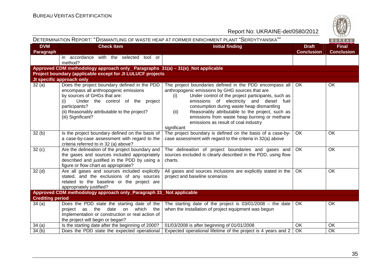

| Report No: UKRAINE-det/0580/2012 |                                                                                                                                                                                                                                                                                      |                                                                                                                                                                                                                                                                                                                                                                                                                                    |                                   | $\frac{42}{1828}$                 |
|----------------------------------|--------------------------------------------------------------------------------------------------------------------------------------------------------------------------------------------------------------------------------------------------------------------------------------|------------------------------------------------------------------------------------------------------------------------------------------------------------------------------------------------------------------------------------------------------------------------------------------------------------------------------------------------------------------------------------------------------------------------------------|-----------------------------------|-----------------------------------|
|                                  |                                                                                                                                                                                                                                                                                      | DETERMINATION REPORT: "DISMANTLING OF WASTE HEAP AT FORMER ENRICHMENT PLANT "SERDYTYANSKA""                                                                                                                                                                                                                                                                                                                                        |                                   | BUREAU                            |
| <b>DVM</b><br>Paragraph          | <b>Check Item</b>                                                                                                                                                                                                                                                                    | <b>Initial finding</b>                                                                                                                                                                                                                                                                                                                                                                                                             | <b>Draft</b><br><b>Conclusion</b> | <b>Final</b><br><b>Conclusion</b> |
|                                  | in accordance with the selected tool or<br>method?                                                                                                                                                                                                                                   |                                                                                                                                                                                                                                                                                                                                                                                                                                    |                                   |                                   |
|                                  | Approved CDM methodology approach only_ Paragraphs 31(a) - 31(e)_Not applicable                                                                                                                                                                                                      |                                                                                                                                                                                                                                                                                                                                                                                                                                    |                                   |                                   |
|                                  | Project boundary (applicable except for JI LULUCF projects                                                                                                                                                                                                                           |                                                                                                                                                                                                                                                                                                                                                                                                                                    |                                   |                                   |
| 32(a)                            | JI specific approach only<br>Does the project boundary defined in the PDD<br>encompass all anthropogenic emissions<br>by sources of GHGs that are:<br>Under the control of the project<br>(i)<br>participants?<br>(ii) Reasonably attributable to the project?<br>(iii) Significant? | The project boundaries defined in the PDD encompass all<br>anthropogenic emissions by GHG sources that are<br>Under control of the project participants, such as<br>(i)<br>emissions of electricity and diesel fuel<br>consumption during waste heap dismantling<br>Reasonably attributable to the project, such as<br>(ii)<br>emissions from waste heap burning or methane<br>emissions as result of coal industry<br>significant | OK                                | OK                                |
| 32(b)                            | Is the project boundary defined on the basis of<br>a case-by-case assessment with regard to the<br>criteria referred to in 32 (a) above?                                                                                                                                             | The project boundary is defined on the basis of a case-by-<br>case assessment with regard to the criteria in 32(a) above                                                                                                                                                                                                                                                                                                           | OK                                | OK                                |
| 32(c)                            | Are the delineation of the project boundary and<br>the gases and sources included appropriately<br>described and justified in the PDD by using a<br>figure or flow chart as appropriate?                                                                                             | The delineation of project boundaries and gases and<br>sources excluded is clearly described in the PDD, using flow<br>charts.                                                                                                                                                                                                                                                                                                     | $\overline{OK}$                   | OK                                |
| 32 <sub>(d)</sub>                | Are all gases and sources included explicitly<br>stated, and the exclusions of any sources<br>related to the baseline or the project are<br>appropriately justified?                                                                                                                 | All gases and sources inclusions are explicitly stated in the<br>project and baseline scenarios                                                                                                                                                                                                                                                                                                                                    | <b>OK</b>                         | OK                                |
|                                  | Approved CDM methodology approach only_Paragraph 33_ Not applicable                                                                                                                                                                                                                  |                                                                                                                                                                                                                                                                                                                                                                                                                                    |                                   |                                   |
| <b>Crediting period</b><br>34(a) | Does the PDD state the starting date of the<br>the<br>date on<br>which the<br>project as<br>implementation or construction or real action of<br>the project will begin or began?                                                                                                     | The starting date of the project is $03/01/2008$ – the date<br>when the installation of project equipment was begun                                                                                                                                                                                                                                                                                                                | OK                                | OK                                |
| 34(a)                            | Is the starting date after the beginning of 2000?                                                                                                                                                                                                                                    | 01/03/2008 is after beginning of 01/01/2008                                                                                                                                                                                                                                                                                                                                                                                        | OK                                | OK                                |
| 34(b)                            | Does the PDD state the expected operational                                                                                                                                                                                                                                          | Expected operational lifetime of the project is 4 years and 2                                                                                                                                                                                                                                                                                                                                                                      | OK                                | OK                                |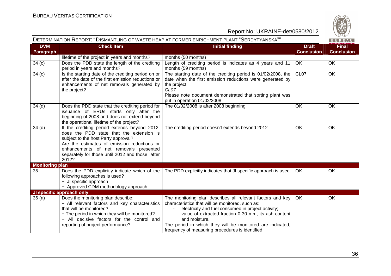

| DETERMINATION REPORT: "DISMANTLING OF WASTE HEAP AT FORMER ENRICHMENT PLANT "SERDYTYANSKA"" |                                                                                                                                                                                                                                                                                      |                                                                                                                                                                                                                                                                                                                                                               | BUREAU                            |                                   |
|---------------------------------------------------------------------------------------------|--------------------------------------------------------------------------------------------------------------------------------------------------------------------------------------------------------------------------------------------------------------------------------------|---------------------------------------------------------------------------------------------------------------------------------------------------------------------------------------------------------------------------------------------------------------------------------------------------------------------------------------------------------------|-----------------------------------|-----------------------------------|
| <b>DVM</b><br><b>Paragraph</b>                                                              | <b>Check Item</b>                                                                                                                                                                                                                                                                    | <b>Initial finding</b>                                                                                                                                                                                                                                                                                                                                        | <b>Draft</b><br><b>Conclusion</b> | <b>Final</b><br><b>Conclusion</b> |
|                                                                                             | lifetime of the project in years and months?                                                                                                                                                                                                                                         | months (50 months)                                                                                                                                                                                                                                                                                                                                            |                                   |                                   |
| 34(c)                                                                                       | Does the PDD state the length of the crediting<br>period in years and months?                                                                                                                                                                                                        | Length of crediting period is indicates as 4 years and 11<br>months (59 months)                                                                                                                                                                                                                                                                               | OK                                | OK                                |
| 34(c)                                                                                       | Is the starting date of the crediting period on or<br>after the date of the first emission reductions or<br>enhancements of net removals generated by<br>the project?                                                                                                                | The starting date of the crediting period is 01/02/2008, the<br>date when the first emission reductions were generated by<br>the project<br>CL07<br>Please note document demonstrated that sorting plant was<br>put in operation 01/02/2008                                                                                                                   | CL <sub>07</sub>                  | OK                                |
| 34 <sub>(d)</sub>                                                                           | Does the PDD state that the crediting period for<br>issuance of ERUs starts only after the<br>beginning of 2008 and does not extend beyond<br>the operational lifetime of the project?                                                                                               | The 01/02/2008 is after 2008 beginning                                                                                                                                                                                                                                                                                                                        | OK                                | OK                                |
| 34(d)                                                                                       | If the crediting period extends beyond 2012,<br>does the PDD state that the extension is<br>subject to the host Party approval?<br>Are the estimates of emission reductions or<br>enhancements of net removals presented<br>separately for those until 2012 and those after<br>2012? | The crediting period doesn't extends beyond 2012                                                                                                                                                                                                                                                                                                              | OK                                | OK                                |
| <b>Monitoring plan</b>                                                                      |                                                                                                                                                                                                                                                                                      |                                                                                                                                                                                                                                                                                                                                                               |                                   |                                   |
| 35                                                                                          | Does the PDD explicitly indicate which of the<br>following approaches is used?<br>- JI specific approach<br>- Approved CDM methodology approach                                                                                                                                      | The PDD explicitly indicates that JI specific approach is used                                                                                                                                                                                                                                                                                                | OK.                               | OK                                |
|                                                                                             | JI specific approach only                                                                                                                                                                                                                                                            |                                                                                                                                                                                                                                                                                                                                                               |                                   |                                   |
| 36(a)                                                                                       | Does the monitoring plan describe:<br>- All relevant factors and key characteristics<br>that will be monitored?<br>- The period in which they will be monitored?<br>- All decisive factors for the control and<br>reporting of project performance?                                  | The monitoring plan describes all relevant factors and key<br>characteristics that will be monitored, such as:<br>electricity and fuel consumed in project activity;<br>value of extracted fraction 0-30 mm, its ash content<br>and moisture.<br>The period in which they will be monitored are indicated,<br>frequency of measuring procedures is identified | OK.                               | OK                                |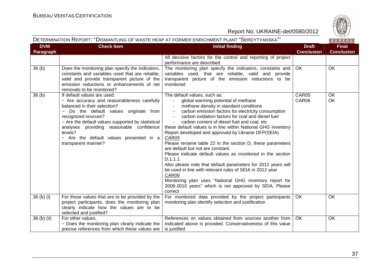

# DETERMINATION REPORT: "DISMANTLING OF WASTE HEAP AT FORMER ENRICHMENT PLANT "SERDYTYANSKA""

BUREAU

| <b>DVM</b><br>Paragraph | <b>Check Item</b>                                                                                                                                                                                                                                                                                                                                              | <b>Initial finding</b>                                                                                                                                                                                                                                                                                                                                                                                                                                                                                                                                                                                                                                                                                                                                                                                                                                   | <b>Draft</b><br><b>Conclusion</b> | <b>Final</b><br><b>Conclusion</b> |
|-------------------------|----------------------------------------------------------------------------------------------------------------------------------------------------------------------------------------------------------------------------------------------------------------------------------------------------------------------------------------------------------------|----------------------------------------------------------------------------------------------------------------------------------------------------------------------------------------------------------------------------------------------------------------------------------------------------------------------------------------------------------------------------------------------------------------------------------------------------------------------------------------------------------------------------------------------------------------------------------------------------------------------------------------------------------------------------------------------------------------------------------------------------------------------------------------------------------------------------------------------------------|-----------------------------------|-----------------------------------|
|                         |                                                                                                                                                                                                                                                                                                                                                                | All decisive factors for the control and reporting of project<br>performance are described                                                                                                                                                                                                                                                                                                                                                                                                                                                                                                                                                                                                                                                                                                                                                               |                                   |                                   |
| 36(b)                   | Does the monitoring plan specify the indicators,<br>constants and variables used that are reliable,<br>valid and provide transparent picture of the<br>emission reductions or enhancements of net<br>removals to be monitored?                                                                                                                                 | The monitoring plan specify the indicators, constants and<br>variables used, that are reliable, valid and provide<br>transparent picture of the emission reductions to be<br>monitored                                                                                                                                                                                                                                                                                                                                                                                                                                                                                                                                                                                                                                                                   | OK                                | OK                                |
| 36(b)                   | If default values are used:<br>- Are accuracy and reasonableness carefully<br>balanced in their selection?<br>Do the default values originate from<br>$-$<br>recognized sources?<br>- Are the default values supported by statistical<br>analyses providing reasonable confidence<br>levels?<br>- Are the default values presented in a<br>transparent manner? | The default values, such as:<br>global warming potential of methane<br>methane density in standard conditions<br>carbon emission factors for electricity consumption<br>carbon oxidation factors for coal and diesel fuel<br>carbon content of diesel fuel and coal, etc<br>these default values is in line within National GHG inventory<br>Report developed and approved by Ukraine DFP(SEIA)<br>CAR05<br>Please rename table 22 in the section D, these parameters<br>are default but not are constant.<br>Please indicate default values as monitored in the section<br>D.1.1.1<br>Also please note that default parameters for 2012 years will<br>be used in line with relevant rules of SEIA in 2012 year<br>CAR06<br>Monitoring plan uses "National GHG inventory report for<br>2008-2010 years" which is not approved by SEIA. Please<br>correct | CAR05<br>CAR06                    | <b>OK</b><br>OK                   |
| 36 (b) (i)              | For those values that are to be provided by the<br>project participants, does the monitoring plan<br>clearly indicate how the values are to be<br>selected and justified?                                                                                                                                                                                      | For monitored data provided by the project participants<br>monitoring plan identify selection and justification                                                                                                                                                                                                                                                                                                                                                                                                                                                                                                                                                                                                                                                                                                                                          | <b>OK</b>                         | <b>OK</b>                         |
| 36 (b) (ii)             | For other values,<br>- Does the monitoring plan clearly indicate the<br>precise references from which these values are                                                                                                                                                                                                                                         | References on values obtained from sources another from<br>indicated above is provided. Conservativeness of this value<br>is justified                                                                                                                                                                                                                                                                                                                                                                                                                                                                                                                                                                                                                                                                                                                   | OK.                               | OK                                |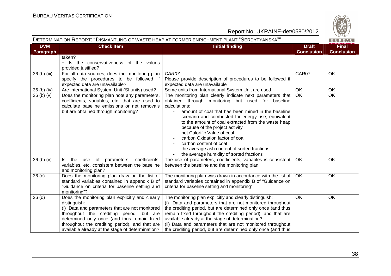

# DETERMINATION REPORT: "DISMANTLING OF WASTE HEAP AT FORMER ENRICHMENT PLANT "SERDYTYANSKA""

| <b>DVM</b><br><b>Paragraph</b> | <b>Check Item</b>                                                                                                                                                                                                                                                                                                  | <b>Initial finding</b>                                                                                                                                                                                                                                                                                                                                                                                                                                                                                                      | <b>Draft</b><br><b>Conclusion</b> | <b>Final</b><br><b>Conclusion</b> |
|--------------------------------|--------------------------------------------------------------------------------------------------------------------------------------------------------------------------------------------------------------------------------------------------------------------------------------------------------------------|-----------------------------------------------------------------------------------------------------------------------------------------------------------------------------------------------------------------------------------------------------------------------------------------------------------------------------------------------------------------------------------------------------------------------------------------------------------------------------------------------------------------------------|-----------------------------------|-----------------------------------|
|                                | taken?<br>- Is the conservativeness of the values<br>provided justified?                                                                                                                                                                                                                                           |                                                                                                                                                                                                                                                                                                                                                                                                                                                                                                                             |                                   |                                   |
| 36 (b) (iii)                   | For all data sources, does the monitoring plan<br>specify the procedures to be followed if<br>expected data are unavailable?                                                                                                                                                                                       | CAR07<br>Please provide description of procedures to be followed if<br>expected data are unavailable                                                                                                                                                                                                                                                                                                                                                                                                                        | CAR07                             | OK                                |
| 36 (b) (iv)                    | Are International System Unit (SI units) used?                                                                                                                                                                                                                                                                     | Some units from International System Unit are used                                                                                                                                                                                                                                                                                                                                                                                                                                                                          | OK                                | OK                                |
| 36(b)(v)                       | Does the monitoring plan note any parameters,<br>coefficients, variables, etc. that are used to<br>calculate baseline emissions or net removals<br>but are obtained through monitoring?                                                                                                                            | The monitoring plan clearly indicate next parameters that<br>obtained through monitoring but used for baseline<br>calculations:<br>amount of coal that has been mined in the baseline<br>scenario and combusted for energy use, equivalent<br>to the amount of coal extracted from the waste heap<br>because of the project activity<br>net Calorific Value of coal<br>carbon Oxidation factor of coal<br>carbon content of coal<br>the average ash content of sorted fractions<br>the average humidity of sorted fractions | $\overline{OK}$                   | OK                                |
| 36(b)(v)                       | Is the use of parameters, coefficients,<br>variables, etc. consistent between the baseline<br>and monitoring plan?                                                                                                                                                                                                 | The use of parameters, coefficients, variables is consistent<br>between the baseline and the monitoring plan                                                                                                                                                                                                                                                                                                                                                                                                                | OK                                | OK                                |
| 36 <sub>(c)</sub>              | Does the monitoring plan draw on the list of<br>standard variables contained in appendix B of<br>"Guidance on criteria for baseline setting and<br>monitoring"?                                                                                                                                                    | The monitoring plan was drawn in accordance with the list of<br>standard variables contained in appendix B of "Guidance on<br>criteria for baseline setting and monitoring"                                                                                                                                                                                                                                                                                                                                                 | OK                                | OK                                |
| 36(d)                          | Does the monitoring plan explicitly and clearly<br>distinguish:<br>(i) Data and parameters that are not monitored<br>throughout the crediting period, but are<br>determined only once (and thus remain fixed<br>throughout the crediting period), and that are<br>available already at the stage of determination? | The monitoring plan explicitly and clearly distinguish:<br>(i) Data and parameters that are not monitored throughout<br>the crediting period, but are determined only once (and thus<br>remain fixed throughout the crediting period), and that are<br>available already at the stage of determination?<br>(ii) Data and parameters that are not monitored throughout<br>the crediting period, but are determined only once (and thus                                                                                       | OK                                | OK                                |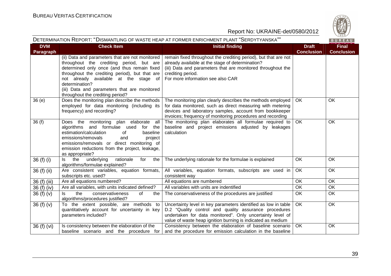

|                                | DETERMINATION REPORT: "DISMANTLING OF WASTE HEAP AT FORMER ENRICHMENT PLANT "SERDYTYANSKA""<br>BUREAU                                                                                                                                                                                                                                       |                                                                                                                                                                                                                                                     |                                   |                                   |
|--------------------------------|---------------------------------------------------------------------------------------------------------------------------------------------------------------------------------------------------------------------------------------------------------------------------------------------------------------------------------------------|-----------------------------------------------------------------------------------------------------------------------------------------------------------------------------------------------------------------------------------------------------|-----------------------------------|-----------------------------------|
| <b>DVM</b><br><b>Paragraph</b> | <b>Check Item</b>                                                                                                                                                                                                                                                                                                                           | <b>Initial finding</b>                                                                                                                                                                                                                              | <b>Draft</b><br><b>Conclusion</b> | <b>Final</b><br><b>Conclusion</b> |
|                                | (ii) Data and parameters that are not monitored<br>throughout the crediting period, but are<br>determined only once (and thus remain fixed<br>throughout the crediting period), but that are<br>not already available at the stage of<br>determination?<br>(iii) Data and parameters that are monitored<br>throughout the crediting period? | remain fixed throughout the crediting period), but that are not<br>already available at the stage of determination?<br>(iii) Data and parameters that are monitored throughout the<br>crediting period.<br>For more information see also CAR        |                                   |                                   |
| 36(e)                          | Does the monitoring plan describe the methods<br>employed for data monitoring (including its<br>frequency) and recording?                                                                                                                                                                                                                   | The monitoring plan clearly describes the methods employed<br>for data monitored, such as direct measuring with metering<br>devices and laboratory samples, account from bookkeeper<br>invoices; frequency of monitoring procedures and recording   | OK.                               | OK                                |
| 36(f)                          | Does the monitoring<br>plan elaborate<br>all<br>algorithms and formulae used<br>for the<br>estimation/calculation<br>baseline<br>0f<br>emissions/removals<br>and<br>project<br>emissions/removals or direct monitoring of<br>emission reductions from the project, leakage,<br>as appropriate?                                              | The monitoring plan elaborates all formulae required to<br>baseline and project emissions adjusted by leakages<br>calculation                                                                                                                       | OK                                | <b>OK</b>                         |
| 36 (f) (i)                     | underlying<br>the<br>rationale<br>the<br>for<br>ls.<br>algorithms/formulae explained?                                                                                                                                                                                                                                                       | The underlying rationale for the formulae is explained                                                                                                                                                                                              | OK.                               | <b>OK</b>                         |
| 36 (f) (ii)                    | Are consistent variables, equation formats,<br>subscripts etc. used?                                                                                                                                                                                                                                                                        | All variables, equation formats, subscripts are used in<br>consistent way                                                                                                                                                                           | OK                                | <b>OK</b>                         |
| 36 (f) (iii)                   | Are all equations numbered?                                                                                                                                                                                                                                                                                                                 | All equations are numbered                                                                                                                                                                                                                          | <b>OK</b>                         | OK                                |
| 36 (f) (iv)                    | Are all variables, with units indicated defined?                                                                                                                                                                                                                                                                                            | All variables with units are indentified                                                                                                                                                                                                            | <b>OK</b>                         | <b>OK</b>                         |
| 36 $(f)(v)$                    | the<br>conservativeness<br>of<br>ls.<br>the<br>algorithms/procedures justified?                                                                                                                                                                                                                                                             | The conservativeness of the procedures are justified                                                                                                                                                                                                | <b>OK</b>                         | <b>OK</b>                         |
| 36 $(f)(v)$                    | To the extent possible, are methods to<br>quantitatively account for uncertainty in key<br>parameters included?                                                                                                                                                                                                                             | Uncertainty level in key parameters identified as low in table<br>D.2 "Quality control and quality assurance procedures<br>undertaken for data monitored". Only uncertainty level of<br>value of waste heap ignition burning is indicated as medium | OK.                               | OK                                |
| 36 (f) (vi)                    | Is consistency between the elaboration of the<br>baseline scenario and the procedure for                                                                                                                                                                                                                                                    | Consistency between the elaboration of baseline scenario<br>and the procedure for emission calculation in the baseline                                                                                                                              | OK                                | OK                                |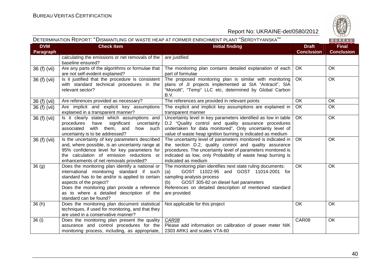

# DETERMINATION REPORT: "DISMANTLING OF WASTE HEAP AT FORMER ENRICHMENT PLANT "SERDYTYANSKA""

|  | ۰ |  |  |
|--|---|--|--|
|  |   |  |  |

| <b>DVM</b><br><b>Paragraph</b> | <b>Check Item</b>                                                                                                                                                                                                                                                                                 | <b>Initial finding</b>                                                                                                                                                                                                                                                        | <b>Draft</b><br><b>Conclusion</b> | <b>Final</b><br><b>Conclusion</b> |
|--------------------------------|---------------------------------------------------------------------------------------------------------------------------------------------------------------------------------------------------------------------------------------------------------------------------------------------------|-------------------------------------------------------------------------------------------------------------------------------------------------------------------------------------------------------------------------------------------------------------------------------|-----------------------------------|-----------------------------------|
|                                | calculating the emissions or net removals of the<br>baseline ensured?                                                                                                                                                                                                                             | are justified                                                                                                                                                                                                                                                                 |                                   |                                   |
| 36 (f) (vii)                   | Are any parts of the algorithms or formulae that<br>are not self-evident explained?                                                                                                                                                                                                               | The monitoring plan contains detailed explanation of each<br>part of formulae                                                                                                                                                                                                 | OK.                               | OK.                               |
| 36 (f) (vii)                   | Is it justified that the procedure is consistent<br>with standard technical procedures in the<br>relevant sector?                                                                                                                                                                                 | The proposed monitoring plan is similar with monitoring<br>plans of JI projects implemented at SIA "Antracit", SIA<br>"Monolit", "Temp" LLC etc, determined by Global Carbon<br>B.V.                                                                                          | OK.                               | OK                                |
| $\overline{36}$ (f) (vii)      | Are references provided as necessary?                                                                                                                                                                                                                                                             | The references are provided in relevant points                                                                                                                                                                                                                                | OK                                | OK                                |
| 36 (f) (vii)                   | Are implicit and explicit key assumptions<br>explained in a transparent manner?                                                                                                                                                                                                                   | The explicit and implicit key assumptions are explained in<br>transparent manner                                                                                                                                                                                              | <b>OK</b>                         | OK                                |
| 36 (f) (vii)                   | Is it clearly stated which assumptions and<br>significant<br>procedures<br>have<br>uncertainty<br>associated with them, and<br>how such<br>uncertainty is to be addressed?                                                                                                                        | Uncertainty level in key parameters identified as low in table<br>D.2 "Quality control and quality assurance procedures<br>undertaken for data monitored". Only uncertainty level of<br>value of waste heap ignition burning is indicated as medium                           | <b>OK</b>                         | OK                                |
| 36 (f) (vii)                   | Is the uncertainty of key parameters described<br>and, where possible, is an uncertainty range at<br>95% confidence level for key parameters for<br>the calculation of emission reductions or<br>enhancements of net removals provided?                                                           | The uncertainty level of parameters monitored is indicated in<br>the section D.2, quality control and quality assurance<br>procedures. The uncertainty level of parameters monitored is<br>indicated as low, only Probability of waste heap burning is<br>indicated as medium | <b>OK</b>                         | OK                                |
| 36(9)                          | Does the monitoring plan identify a national or<br>international monitoring standard if such<br>standard has to be and/or is applied to certain<br>aspects of the project?<br>Does the monitoring plan provide a reference<br>as to where a detailed description of the<br>standard can be found? | The monitoring plan identifies next state ruling documents:<br>GOST 11022-95 and GOST 11014-2001 for<br>(a)<br>sampling analysis process<br>GOST 305-82 on diesel fuel parameters<br>(b)<br>References on detailed description of mentioned standard<br>are provided          | OK                                | OK                                |
| 36(h)                          | Does the monitoring plan document statistical<br>techniques, if used for monitoring, and that they<br>are used in a conservative manner?                                                                                                                                                          | Not applicable for this project                                                                                                                                                                                                                                               | OK                                | OK                                |
| 36(i)                          | Does the monitoring plan present the quality<br>assurance and control procedures for the<br>monitoring process, including, as appropriate,                                                                                                                                                        | CAR08<br>Please add information on calibration of power meter NIK<br>2303 ARK1 and scales VTA-60                                                                                                                                                                              | CAR08                             | OK                                |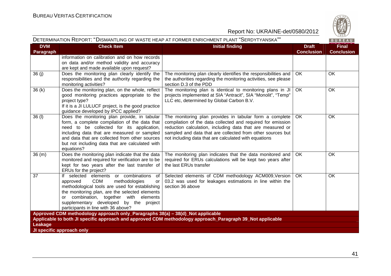

| DETERMINATION REPORT: "DISMANTLING OF WASTE HEAP AT FORMER ENRICHMENT PLANT "SERDYTYANSKA"" |                                                                                                                                                                                                                                                                                                                                   |                                                                                                                                                                                                                                                                                                             |                                   | $\vee$ 829/<br>BUREAU             |
|---------------------------------------------------------------------------------------------|-----------------------------------------------------------------------------------------------------------------------------------------------------------------------------------------------------------------------------------------------------------------------------------------------------------------------------------|-------------------------------------------------------------------------------------------------------------------------------------------------------------------------------------------------------------------------------------------------------------------------------------------------------------|-----------------------------------|-----------------------------------|
| <b>DVM</b><br>Paragraph                                                                     | <b>Check Item</b>                                                                                                                                                                                                                                                                                                                 | <b>Initial finding</b>                                                                                                                                                                                                                                                                                      | <b>Draft</b><br><b>Conclusion</b> | <b>Final</b><br><b>Conclusion</b> |
|                                                                                             | information on calibration and on how records<br>on data and/or method validity and accuracy<br>are kept and made available upon request?                                                                                                                                                                                         |                                                                                                                                                                                                                                                                                                             |                                   |                                   |
| 36(j)                                                                                       | Does the monitoring plan clearly identify the<br>responsibilities and the authority regarding the<br>monitoring activities?                                                                                                                                                                                                       | The monitoring plan clearly identifies the responsibilities and<br>the authorities regarding the monitoring activities, see please<br>section D.3 of the PDD                                                                                                                                                | <b>OK</b>                         | OK                                |
| 36(k)                                                                                       | Does the monitoring plan, on the whole, reflect<br>good monitoring practices appropriate to the<br>project type?<br>If it is a JI LULUCF project, is the good practice<br>guidance developed by IPCC applied?                                                                                                                     | The monitoring plan is identical to monitoring plans in JI<br>projects implemented at SIA "Antracit", SIA "Monolit", "Temp"<br>LLC etc, determined by Global Carbon B.V.                                                                                                                                    | OK                                | OK                                |
| 36(1)                                                                                       | Does the monitoring plan provide, in tabular<br>form, a complete compilation of the data that<br>need to be collected for its application,<br>including data that are measured or sampled<br>and data that are collected from other sources<br>but not including data that are calculated with<br>equations?                      | The monitoring plan provides in tabular form a complete<br>compilation of the data collected and required for emission<br>reduction calculation, including data that are measured or<br>sampled and data that are collected from other sources but<br>not including data that are calculated with equations | OK                                | OK                                |
| 36(m)                                                                                       | Does the monitoring plan indicate that the data<br>monitored and required for verification are to be<br>kept for two years after the last transfer of<br>ERUs for the project?                                                                                                                                                    | The monitoring plan indicates that the data monitored and<br>required for ERUs calculations will be kept two years after<br>the last ERUs transfer                                                                                                                                                          | OK                                | OK                                |
| 37                                                                                          | If selected elements or combinations<br>of<br><b>CDM</b><br>methodologies<br>approved<br><b>or</b><br>methodological tools are used for establishing<br>the monitoring plan, are the selected elements<br>or combination, together with elements<br>supplementary developed by the project<br>participants in line with 36 above? | Selected elements of CDM methodology ACM009, Version<br>03.2 was used for leakages estimations in line within the<br>section 36 above                                                                                                                                                                       | OK                                | OK                                |
|                                                                                             | Approved CDM methodology approach only_Paragraphs 38(a) - 38(d)_Not applicable                                                                                                                                                                                                                                                    |                                                                                                                                                                                                                                                                                                             |                                   |                                   |
| Leakage                                                                                     |                                                                                                                                                                                                                                                                                                                                   | Applicable to both JI specific approach and approved CDM methodology approach_Paragraph 39_Not applicable                                                                                                                                                                                                   |                                   |                                   |
|                                                                                             | JI specific approach only                                                                                                                                                                                                                                                                                                         |                                                                                                                                                                                                                                                                                                             |                                   |                                   |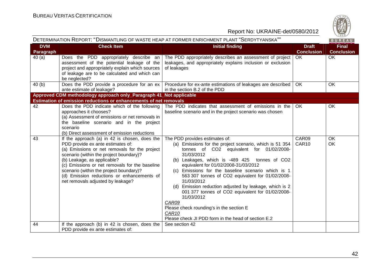

| DETERMINATION REPORT: "DISMANTLING OF WASTE HEAP AT FORMER ENRICHMENT PLANT "SERDYTYANSKA"" |                                                                                                                                                                                                                                                                                                                                                                                               |                                                                                                                                                                                                                                                                                                                                                                                                                                                                                                                                                                                                                                   |                                   | BUREAU                            |
|---------------------------------------------------------------------------------------------|-----------------------------------------------------------------------------------------------------------------------------------------------------------------------------------------------------------------------------------------------------------------------------------------------------------------------------------------------------------------------------------------------|-----------------------------------------------------------------------------------------------------------------------------------------------------------------------------------------------------------------------------------------------------------------------------------------------------------------------------------------------------------------------------------------------------------------------------------------------------------------------------------------------------------------------------------------------------------------------------------------------------------------------------------|-----------------------------------|-----------------------------------|
| <b>DVM</b><br>Paragraph                                                                     | <b>Check Item</b>                                                                                                                                                                                                                                                                                                                                                                             | <b>Initial finding</b>                                                                                                                                                                                                                                                                                                                                                                                                                                                                                                                                                                                                            | <b>Draft</b><br><b>Conclusion</b> | <b>Final</b><br><b>Conclusion</b> |
| 40(a)                                                                                       | Does the PDD appropriately describe an<br>assessment of the potential leakage of the<br>project and appropriately explain which sources<br>of leakage are to be calculated and which can<br>be neglected?                                                                                                                                                                                     | The PDD appropriately describes an assessment of project<br>leakages, and appropriately explains inclusion or exclusion<br>of leakages                                                                                                                                                                                                                                                                                                                                                                                                                                                                                            | OK.                               | <b>OK</b>                         |
| 40(b)                                                                                       | Does the PDD provide a procedure for an ex<br>ante estimate of leakage?                                                                                                                                                                                                                                                                                                                       | Procedure for ex-ante estimations of leakages are described<br>in the section B.2 of the PDD                                                                                                                                                                                                                                                                                                                                                                                                                                                                                                                                      | OK.                               | <b>OK</b>                         |
|                                                                                             | Approved CDM methodology approach only_Paragraph 41_Not applicable                                                                                                                                                                                                                                                                                                                            |                                                                                                                                                                                                                                                                                                                                                                                                                                                                                                                                                                                                                                   |                                   |                                   |
|                                                                                             | Estimation of emission reductions or enhancements of net removals                                                                                                                                                                                                                                                                                                                             |                                                                                                                                                                                                                                                                                                                                                                                                                                                                                                                                                                                                                                   |                                   |                                   |
| 42                                                                                          | Does the PDD indicate which of the following<br>approaches it chooses?<br>(a) Assessment of emissions or net removals in<br>the baseline scenario and in the project<br>scenario<br>(b) Direct assessment of emission reductions                                                                                                                                                              | The PDD indicates that assessment of emissions in the<br>baseline scenario and in the project scenario was chosen                                                                                                                                                                                                                                                                                                                                                                                                                                                                                                                 | OK                                | OK                                |
| 43                                                                                          | If the approach (a) in 42 is chosen, does the<br>PDD provide ex ante estimates of:<br>(a) Emissions or net removals for the project<br>scenario (within the project boundary)?<br>(b) Leakage, as applicable?<br>(c) Emissions or net removals for the baseline<br>scenario (within the project boundary)?<br>(d) Emission reductions or enhancements of<br>net removals adjusted by leakage? | The PDD provides estimates of:<br>(a) Emissions for the project scenario, which is 51 354<br>tonnes of CO2 equivalent for 01/02/2008-<br>31/03/2012<br>(b) Leakages, which is -489 425 tonnes of CO2<br>equivalent for 01/02/2008-31/03/2012<br>(c) Emissions for the baseline scenario which is 1<br>563 307 tonnes of CO2 equivalent for 01/02/2008-<br>31/03/2012<br>(d) Emission reduction adjusted by leakage, which is 2<br>001 377 tonnes of CO2 equivalent for 01/02/2008-<br>31/03/2012<br>CAR09<br>Please check rounding's in the section E<br>CAR <sub>10</sub><br>Please check JI PDD form in the head of section E.2 | CAR09<br>CAR10                    | OK<br>OK                          |
| 44                                                                                          | If the approach (b) in 42 is chosen, does the<br>PDD provide ex ante estimates of:                                                                                                                                                                                                                                                                                                            | See section 42                                                                                                                                                                                                                                                                                                                                                                                                                                                                                                                                                                                                                    |                                   |                                   |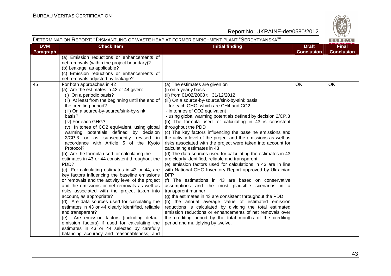

| DETERMINATION REPORT: "DISMANTLING OF WASTE HEAP AT FORMER ENRICHMENT PLANT "SERDYTYANSKA""<br>BUREAU |                                                                                                                                                                                                                                                                                                                                                                                                                                                                                                                                                                                                                                                                                                                                                                                                                                                                                                                                                                                                                                                                                                                                                                              |                                                                                                                                                                                                                                                                                                                                                                                                                                                                                                                                                                                                                                                                                                                                                                                                                                                                                                                                                                                                                                                                                                                                                                                                                                                                                                                                                              |                                   |                                   |
|-------------------------------------------------------------------------------------------------------|------------------------------------------------------------------------------------------------------------------------------------------------------------------------------------------------------------------------------------------------------------------------------------------------------------------------------------------------------------------------------------------------------------------------------------------------------------------------------------------------------------------------------------------------------------------------------------------------------------------------------------------------------------------------------------------------------------------------------------------------------------------------------------------------------------------------------------------------------------------------------------------------------------------------------------------------------------------------------------------------------------------------------------------------------------------------------------------------------------------------------------------------------------------------------|--------------------------------------------------------------------------------------------------------------------------------------------------------------------------------------------------------------------------------------------------------------------------------------------------------------------------------------------------------------------------------------------------------------------------------------------------------------------------------------------------------------------------------------------------------------------------------------------------------------------------------------------------------------------------------------------------------------------------------------------------------------------------------------------------------------------------------------------------------------------------------------------------------------------------------------------------------------------------------------------------------------------------------------------------------------------------------------------------------------------------------------------------------------------------------------------------------------------------------------------------------------------------------------------------------------------------------------------------------------|-----------------------------------|-----------------------------------|
| <b>DVM</b><br>Paragraph                                                                               | <b>Check Item</b>                                                                                                                                                                                                                                                                                                                                                                                                                                                                                                                                                                                                                                                                                                                                                                                                                                                                                                                                                                                                                                                                                                                                                            | <b>Initial finding</b>                                                                                                                                                                                                                                                                                                                                                                                                                                                                                                                                                                                                                                                                                                                                                                                                                                                                                                                                                                                                                                                                                                                                                                                                                                                                                                                                       | <b>Draft</b><br><b>Conclusion</b> | <b>Final</b><br><b>Conclusion</b> |
|                                                                                                       | (a) Emission reductions or enhancements of<br>net removals (within the project boundary)?<br>(b) Leakage, as applicable?<br>(c) Emission reductions or enhancements of<br>net removals adjusted by leakage?                                                                                                                                                                                                                                                                                                                                                                                                                                                                                                                                                                                                                                                                                                                                                                                                                                                                                                                                                                  |                                                                                                                                                                                                                                                                                                                                                                                                                                                                                                                                                                                                                                                                                                                                                                                                                                                                                                                                                                                                                                                                                                                                                                                                                                                                                                                                                              |                                   |                                   |
| 45                                                                                                    | For both approaches in 42<br>(a) Are the estimates in 43 or 44 given:<br>(i) On a periodic basis?<br>(ii) At least from the beginning until the end of<br>the crediting period?<br>(iii) On a source-by-source/sink-by-sink<br>basis?<br>(iv) For each GHG?<br>(v) In tones of CO2 equivalent, using global<br>warming potentials defined by decision<br>2/CP.3 or as subsequently revised in<br>accordance with Article 5 of the Kyoto<br>Protocol?<br>(b) Are the formula used for calculating the<br>estimates in 43 or 44 consistent throughout the<br>PDD?<br>(c) For calculating estimates in 43 or 44, are<br>key factors influencing the baseline emissions<br>or removals and the activity level of the project<br>and the emissions or net removals as well as<br>risks associated with the project taken into<br>account, as appropriate?<br>(d) Are data sources used for calculating the<br>estimates in 43 or 44 clearly identified, reliable<br>and transparent?<br>(e) Are emission factors (including default<br>emission factors) if used for calculating the<br>estimates in 43 or 44 selected by carefully<br>balancing accuracy and reasonableness, and | (a) The estimates are given on<br>(i) on a yearly basis<br>(ii) from 01/02/2008 till 31/12/2012<br>(iii) On a source-by-source/sink-by-sink basis<br>- for each GHG, which are CH4 and CO2<br>- in tonnes of CO2 equivalent<br>- using global warming potentials defined by decision 2/CP.3<br>(b) The formula used for calculating in 43 is consistent<br>throughout the PDD<br>(c) The key factors influencing the baseline emissions and<br>the activity level of the project and the emissions as well as<br>risks associated with the project were taken into account for<br>calculating estimates in 43<br>(d) The data sources used for calculating the estimates in 43<br>are clearly identified, reliable and transparent.<br>(e) emission factors used for calculations in 43 are in line<br>with National GHG Inventory Report approved by Ukrainian<br><b>DFP</b><br>(f) The estimations in 43 are based on conservative<br>assumptions and the most plausible scenarios in a<br>transparent manner<br>(g) the estimates in 43 are consistent throughout the PDD<br>(h) the annual average value of estimated emission<br>reductions is calculated by dividing the total estimated<br>emission reductions or enhancements of net removals over<br>the crediting period by the total months of the crediting<br>period and multiplying by twelve. | <b>OK</b>                         | OK                                |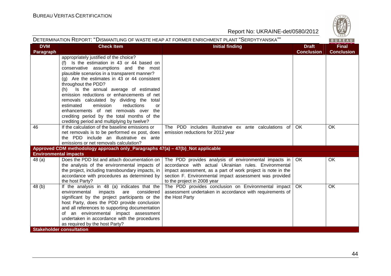

| DETERMINATION REPORT: "DISMANTLING OF WASTE HEAP AT FORMER ENRICHMENT PLANT "SERDYTYANSKA""<br>BUREAU |                                                                                                                                                                                                                                                                                                                                                                                                                                                                                                                                                                                    |                                                                                                                                                                                                                                                                         |                                   |                                   |
|-------------------------------------------------------------------------------------------------------|------------------------------------------------------------------------------------------------------------------------------------------------------------------------------------------------------------------------------------------------------------------------------------------------------------------------------------------------------------------------------------------------------------------------------------------------------------------------------------------------------------------------------------------------------------------------------------|-------------------------------------------------------------------------------------------------------------------------------------------------------------------------------------------------------------------------------------------------------------------------|-----------------------------------|-----------------------------------|
| <b>DVM</b><br>Paragraph                                                                               | <b>Check Item</b>                                                                                                                                                                                                                                                                                                                                                                                                                                                                                                                                                                  | <b>Initial finding</b>                                                                                                                                                                                                                                                  | <b>Draft</b><br><b>Conclusion</b> | <b>Final</b><br><b>Conclusion</b> |
|                                                                                                       | appropriately justified of the choice?<br>(f) Is the estimation in 43 or 44 based on<br>conservative assumptions and the most<br>plausible scenarios in a transparent manner?<br>$(g)$ Are the estimates in 43 or 44 consistent<br>throughout the PDD?<br>Is the annual average of estimated<br>(h)<br>emission reductions or enhancements of net<br>removals calculated by dividing the total<br>estimated<br>emission<br>reductions<br>or<br>enhancements of net removals over the<br>crediting period by the total months of the<br>crediting period and multiplying by twelve? |                                                                                                                                                                                                                                                                         |                                   |                                   |
| 46                                                                                                    | If the calculation of the baseline emissions or<br>net removals is to be performed ex post, does<br>the PDD include an illustrative ex ante<br>emissions or net removals calculation?                                                                                                                                                                                                                                                                                                                                                                                              | The PDD includes illustrative ex ante calculations of<br>emission reductions for 2012 year                                                                                                                                                                              | <b>OK</b>                         | OK.                               |
|                                                                                                       | Approved CDM methodology approach only_Paragraphs 47(a) - 47(b)_Not applicable                                                                                                                                                                                                                                                                                                                                                                                                                                                                                                     |                                                                                                                                                                                                                                                                         |                                   |                                   |
| <b>Environmental impacts</b>                                                                          |                                                                                                                                                                                                                                                                                                                                                                                                                                                                                                                                                                                    |                                                                                                                                                                                                                                                                         |                                   |                                   |
| 48(a)                                                                                                 | Does the PDD list and attach documentation on<br>the analysis of the environmental impacts of<br>the project, including transboundary impacts, in<br>accordance with procedures as determined by<br>the host Party?                                                                                                                                                                                                                                                                                                                                                                | The PDD provides analysis of environmental impacts in<br>accordance with actual Ukrainian rules. Environmental<br>impact assessment, as a part of work project is note in the<br>section F. Environmental impact assessment was provided<br>to the project in 2008 year | <b>OK</b>                         | OK                                |
| 48(b)                                                                                                 | If the analysis in 48 (a) indicates that the<br>environmental<br>impacts<br>considered<br>are<br>significant by the project participants or the<br>host Party, does the PDD provide conclusion<br>and all references to supporting documentation<br>of an environmental impact assessment<br>undertaken in accordance with the procedures<br>as required by the host Party?                                                                                                                                                                                                        | The PDD provides conclusion on Environmental impact<br>assessment undertaken in accordance with requirements of<br>the Host Party                                                                                                                                       | <b>OK</b>                         | OK.                               |
|                                                                                                       | <b>Stakeholder consultation</b>                                                                                                                                                                                                                                                                                                                                                                                                                                                                                                                                                    |                                                                                                                                                                                                                                                                         |                                   |                                   |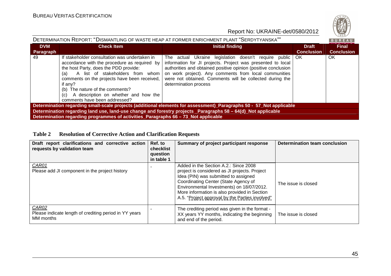

| DETERMINATION REPORT: "DISMANTLING OF WASTE HEAP AT FORMER ENRICHMENT PLANT "SERDYTYANSKA""                         |                                                                                                                                                                                                                                                                                                                                                                   |                                                                                                                                                                                                                                                                                                                                         |                                   |                                   |  |  |  |
|---------------------------------------------------------------------------------------------------------------------|-------------------------------------------------------------------------------------------------------------------------------------------------------------------------------------------------------------------------------------------------------------------------------------------------------------------------------------------------------------------|-----------------------------------------------------------------------------------------------------------------------------------------------------------------------------------------------------------------------------------------------------------------------------------------------------------------------------------------|-----------------------------------|-----------------------------------|--|--|--|
| <b>DVM</b><br>Paragraph                                                                                             | <b>Check Item</b>                                                                                                                                                                                                                                                                                                                                                 | <b>Initial finding</b>                                                                                                                                                                                                                                                                                                                  | <b>Draft</b><br><b>Conclusion</b> | <b>Final</b><br><b>Conclusion</b> |  |  |  |
| 49                                                                                                                  | If stakeholder consultation was undertaken in<br>accordance with the procedure as required by<br>the host Party, does the PDD provide:<br>A list of stakeholders from whom<br>(a)<br>comments on the projects have been received,<br>if any?<br>(b) The nature of the comments?<br>A description on whether and how the<br>(C)  <br>comments have been addressed? | The actual Ukraine legislation doesn't require public OK<br>information for JI projects. Project was presented to local<br>authorities and obtained positive opinion (positive conclusion<br>on work project). Any comments from local communities<br>were not obtained. Comments will be collected during the<br>determination process |                                   | OK                                |  |  |  |
| Determination regarding small-scale projects (additional elements for assessment)_Paragraphs 50 - 57_Not applicable |                                                                                                                                                                                                                                                                                                                                                                   |                                                                                                                                                                                                                                                                                                                                         |                                   |                                   |  |  |  |
|                                                                                                                     | Determination regarding land use, land-use change and forestry projects _Paragraphs 58 - 64(d)_Not applicable                                                                                                                                                                                                                                                     |                                                                                                                                                                                                                                                                                                                                         |                                   |                                   |  |  |  |
|                                                                                                                     | Determination regarding programmes of activities_Paragraphs 66 - 73_Not applicable                                                                                                                                                                                                                                                                                |                                                                                                                                                                                                                                                                                                                                         |                                   |                                   |  |  |  |

# **Table 2 Resolution of Corrective Action and Clarification Requests**

| Draft report clarifications and corrective action<br>requests by validation team | Ref. to<br>checklist<br>question<br>in table 1 | Summary of project participant response                                                                                                                                                                                                                                                                                | <b>Determination team conclusion</b> |
|----------------------------------------------------------------------------------|------------------------------------------------|------------------------------------------------------------------------------------------------------------------------------------------------------------------------------------------------------------------------------------------------------------------------------------------------------------------------|--------------------------------------|
| CAR01<br>Please add JI component in the project history                          |                                                | Added in the Section A.2.: Since 2008<br>project is considered as JI projects. Project<br>Idea (PIN) was submitted to assigned<br>Coordinating Center (State Agency of<br>Environmental Investments) on 18/07/2012.<br>More information is also provided in Section<br>A.5. "Project approval by the Parties involved" | The issue is closed                  |
| CAR02<br>Please indicate length of crediting period in YY years<br>MM months     |                                                | The crediting period was given in the format -<br>XX years YY months, indicating the beginning<br>and end of the period.                                                                                                                                                                                               | The issue is closed                  |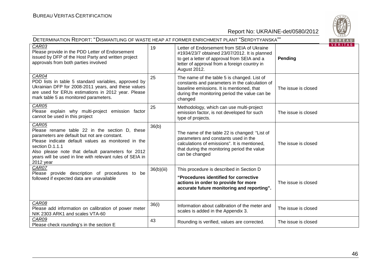

| DETERMINATION REPORT: "DISMANTLING OF WASTE HEAP AT FORMER ENRICHMENT PLANT "SERDYTYANSKA""                                                                                                                                                                                                                     |            |                                                                                                                                                                                                            |                           |  |
|-----------------------------------------------------------------------------------------------------------------------------------------------------------------------------------------------------------------------------------------------------------------------------------------------------------------|------------|------------------------------------------------------------------------------------------------------------------------------------------------------------------------------------------------------------|---------------------------|--|
| CAR03<br>Please provide in the PDD Letter of Endorsement<br>issued by DFP of the Host Party and written project<br>approvals from both parties involved                                                                                                                                                         | 19         | Letter of Endorsement from SEIA of Ukraine<br>#1934/23/7 obtained 23/07/2012. It is planned<br>to get a letter of approval from SEIA and a<br>letter of approval from a foreign country in<br>August 2012. | <b>VERITAS</b><br>Pending |  |
| CAR04<br>PDD lists in table 5 standard variables, approved by<br>Ukrainian DFP for 2008-2011 years, and these values<br>are used for ERUs estimations in 2012 year. Please<br>mark table 5 as monitored parameters.                                                                                             | 25         | The name of the table 5 is changed. List of<br>constants and parameters in the calculation of<br>baseline emissions. It is mentioned, that<br>during the monitoring period the value can be<br>changed     | The issue is closed       |  |
| CAR05<br>Please explain why multi-project emission factor<br>cannot be used in this project                                                                                                                                                                                                                     | 25         | Methodology, which can use multi-project<br>emission factor, is not developed for such<br>type of projects.                                                                                                | The issue is closed       |  |
| CAR05<br>Please rename table 22 in the section D, these<br>parameters are default but not are constant.<br>Please indicate default values as monitored in the<br>section D.1.1.1<br>Also please note that default parameters for 2012<br>years will be used in line with relevant rules of SEIA in<br>2012 year | 36(b)      | The name of the table 22 is changed: "List of<br>parameters and constants used in the<br>calculations of emissions". It is mentioned,<br>that during the monitoring period the value<br>can be changed     | The issue is closed       |  |
| CAR07<br>Please provide description of procedures to be<br>followed if expected data are unavailable                                                                                                                                                                                                            | 36(b)(iii) | This procedure is described in Section D<br>"Procedures identified for corrective<br>actions in order to provide for more<br>accurate future monitoring and reporting".                                    | The issue is closed       |  |
| CAR08<br>Please add information on calibration of power meter<br>NIK 2303 ARK1 and scales VTA-60                                                                                                                                                                                                                | 36(i)      | Information about calibration of the meter and<br>scales is added in the Appendix 3.                                                                                                                       | The issue is closed       |  |
| CAR09<br>Please check rounding's in the section E                                                                                                                                                                                                                                                               | 43         | Rounding is verified, values are corrected.                                                                                                                                                                | The issue is closed       |  |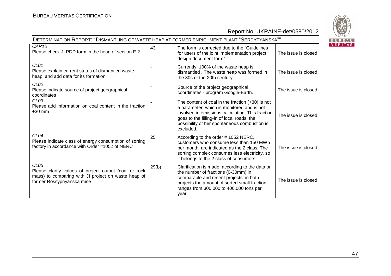| DETERMINATION REPORT: "DISMANTLING OF WASTE HEAP AT FORMER ENRICHMENT PLANT "SERDYTYANSKA""                                                                   |       |                                                                                                                                                                                                                                                                 |                     | BUREAU         |
|---------------------------------------------------------------------------------------------------------------------------------------------------------------|-------|-----------------------------------------------------------------------------------------------------------------------------------------------------------------------------------------------------------------------------------------------------------------|---------------------|----------------|
| CAR <sub>10</sub><br>Please check JI PDD form in the head of section E.2                                                                                      | 43    | The form is corrected due to the "Guidelines"<br>for users of the joint implementation project<br>design document form".                                                                                                                                        | The issue is closed | <b>VERITAS</b> |
| CL01<br>Please explain current status of dismantled waste<br>heap, and add data for its formation                                                             |       | Currently, 100% of the waste heap is<br>dismantled. The waste heap was formed in<br>the 80s of the 20th century                                                                                                                                                 | The issue is closed |                |
| CLO2<br>Please indicate source of project geographical<br>coordinates                                                                                         |       | Source of the project geographical<br>coordinates - program Google-Earth.                                                                                                                                                                                       | The issue is closed |                |
| CL <sub>03</sub><br>Please add information on coal content in the fraction<br>$+30$ mm                                                                        |       | The content of coal in the fraction $(+30)$ is not<br>a parameter, which is monitored and is not<br>involved in emissions calculating. This fraction<br>goes to the filling-in of local roads, the<br>possibility of her spontaneous combustion is<br>excluded. | The issue is closed |                |
| CL04<br>Please indicate class of energy consumption of sorting<br>factory in accordance with Order #1052 of NERC                                              | 25    | According to the order #1052 NERC,<br>customers who consume less than 150 MWh<br>per month, are indicated as the 2 class. The<br>sorting complex consumes less electricity, so<br>it belongs to the 2 class of consumers.                                       | The issue is closed |                |
| CL <sub>05</sub><br>Please clarify values of project output (coal or rock<br>mass) to comparing with JI project on waste heap of<br>former Rossypnyanska mine | 29(b) | Clarification is made, according to the data on<br>the number of fractions (0-30mm) in<br>comparable and recent projects: in both<br>projects the amount of sorted small fraction<br>ranges from 300,000 to 400,000 tons per<br>year.                           | The issue is closed |                |